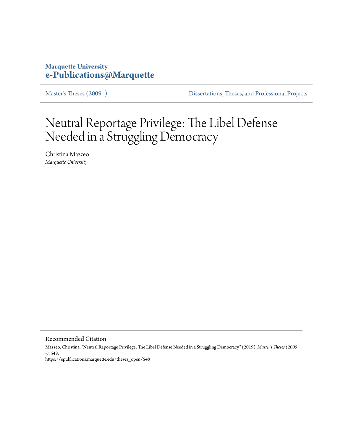# **Marquette University [e-Publications@Marquette](https://epublications.marquette.edu)**

[Master's Theses \(2009 -\)](https://epublications.marquette.edu/theses_open) [Dissertations, Theses, and Professional Projects](https://epublications.marquette.edu/diss_theses)

# Neutral Reportage Privilege: The Libel Defense Needed in a Struggling Democracy

Christina Mazzeo *Marquette University*

Recommended Citation

Mazzeo, Christina, "Neutral Reportage Privilege: The Libel Defense Needed in a Struggling Democracy" (2019). *Master's Theses (2009 -)*. 548. https://epublications.marquette.edu/theses\_open/548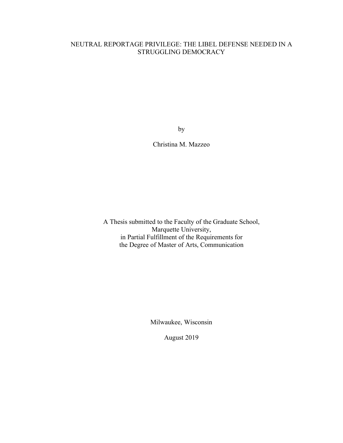# NEUTRAL REPORTAGE PRIVILEGE: THE LIBEL DEFENSE NEEDED IN A STRUGGLING DEMOCRACY

by

Christina M. Mazzeo

A Thesis submitted to the Faculty of the Graduate School, Marquette University, in Partial Fulfillment of the Requirements for the Degree of Master of Arts, Communication

Milwaukee, Wisconsin

August 2019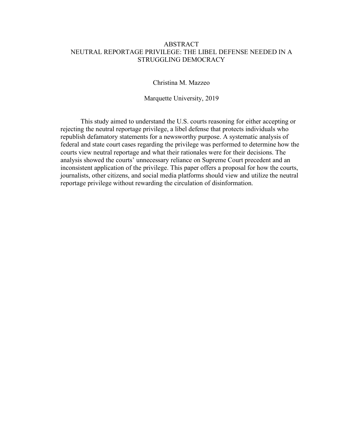# ABSTRACT NEUTRAL REPORTAGE PRIVILEGE: THE LIBEL DEFENSE NEEDED IN A STRUGGLING DEMOCRACY

Christina M. Mazzeo

Marquette University, 2019

This study aimed to understand the U.S. courts reasoning for either accepting or rejecting the neutral reportage privilege, a libel defense that protects individuals who republish defamatory statements for a newsworthy purpose. A systematic analysis of federal and state court cases regarding the privilege was performed to determine how the courts view neutral reportage and what their rationales were for their decisions. The analysis showed the courts' unnecessary reliance on Supreme Court precedent and an inconsistent application of the privilege. This paper offers a proposal for how the courts, journalists, other citizens, and social media platforms should view and utilize the neutral reportage privilege without rewarding the circulation of disinformation.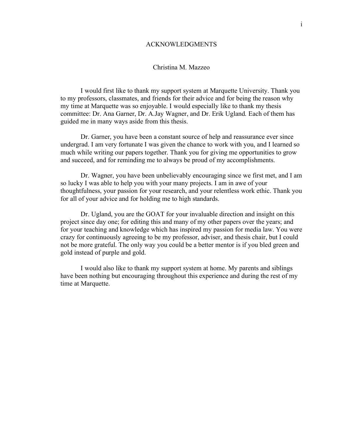## ACKNOWLEDGMENTS

## Christina M. Mazzeo

I would first like to thank my support system at Marquette University. Thank you to my professors, classmates, and friends for their advice and for being the reason why my time at Marquette was so enjoyable. I would especially like to thank my thesis committee: Dr. Ana Garner, Dr. A.Jay Wagner, and Dr. Erik Ugland. Each of them has guided me in many ways aside from this thesis.

Dr. Garner, you have been a constant source of help and reassurance ever since undergrad. I am very fortunate I was given the chance to work with you, and I learned so much while writing our papers together. Thank you for giving me opportunities to grow and succeed, and for reminding me to always be proud of my accomplishments.

Dr. Wagner, you have been unbelievably encouraging since we first met, and I am so lucky I was able to help you with your many projects. I am in awe of your thoughtfulness, your passion for your research, and your relentless work ethic. Thank you for all of your advice and for holding me to high standards.

Dr. Ugland, you are the GOAT for your invaluable direction and insight on this project since day one; for editing this and many of my other papers over the years; and for your teaching and knowledge which has inspired my passion for media law. You were crazy for continuously agreeing to be my professor, adviser, and thesis chair, but I could not be more grateful. The only way you could be a better mentor is if you bled green and gold instead of purple and gold.

I would also like to thank my support system at home. My parents and siblings have been nothing but encouraging throughout this experience and during the rest of my time at Marquette.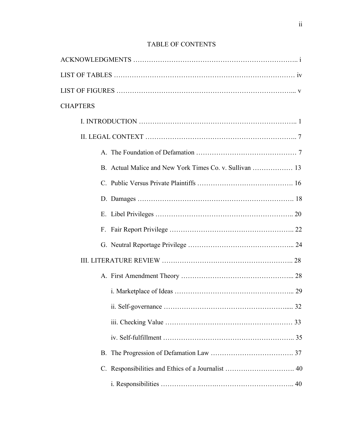| <b>CHAPTERS</b> |
|-----------------|
|                 |
|                 |
|                 |
|                 |
|                 |
|                 |
|                 |
|                 |
|                 |
|                 |
|                 |
|                 |
|                 |
|                 |
|                 |
|                 |
|                 |
|                 |

# TABLE OF CONTENTS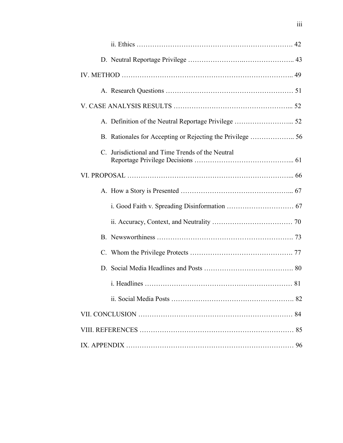| C. Jurisdictional and Time Trends of the Neutral |  |
|--------------------------------------------------|--|
|                                                  |  |
|                                                  |  |
|                                                  |  |
|                                                  |  |
|                                                  |  |
|                                                  |  |
|                                                  |  |
|                                                  |  |
|                                                  |  |
|                                                  |  |
|                                                  |  |
|                                                  |  |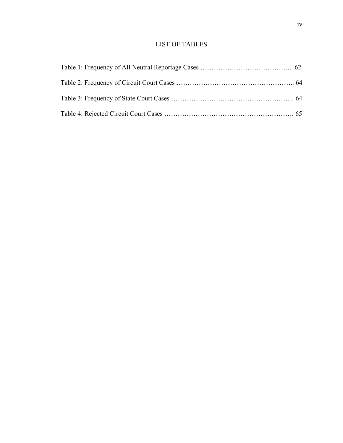# LIST OF TABLES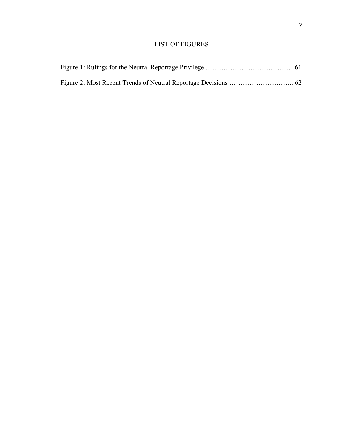# LIST OF FIGURES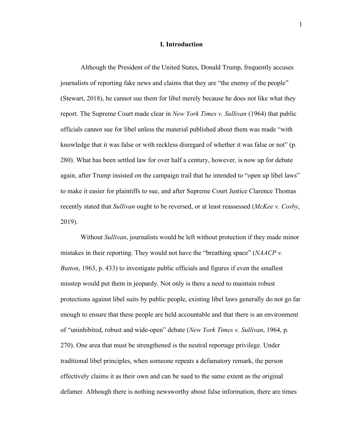## **I. Introduction**

Although the President of the United States, Donald Trump, frequently accuses journalists of reporting fake news and claims that they are "the enemy of the people" (Stewart, 2018), he cannot sue them for libel merely because he does not like what they report. The Supreme Court made clear in *New York Times v. Sullivan* (1964) that public officials cannot sue for libel unless the material published about them was made "with knowledge that it was false or with reckless disregard of whether it was false or not" (p. 280). What has been settled law for over half a century, however, is now up for debate again, after Trump insisted on the campaign trail that he intended to "open up libel laws" to make it easier for plaintiffs to sue, and after Supreme Court Justice Clarence Thomas recently stated that *Sullivan* ought to be reversed, or at least reassessed (*McKee v. Cosby*, 2019).

Without *Sullivan*, journalists would be left without protection if they made minor mistakes in their reporting. They would not have the "breathing space" (*NAACP v. Button*, 1963, p. 433) to investigate public officials and figures if even the smallest misstep would put them in jeopardy. Not only is there a need to maintain robust protections against libel suits by public people, existing libel laws generally do not go far enough to ensure that these people are held accountable and that there is an environment of "uninhibited, robust and wide-open" debate (*New York Times v. Sullivan*, 1964, p. 270). One area that must be strengthened is the neutral reportage privilege. Under traditional libel principles, when someone repeats a defamatory remark, the person effectively claims it as their own and can be sued to the same extent as the original defamer. Although there is nothing newsworthy about false information, there are times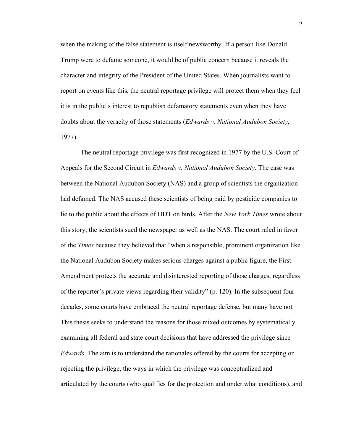when the making of the false statement is itself newsworthy. If a person like Donald Trump were to defame someone, it would be of public concern because it reveals the character and integrity of the President of the United States. When journalists want to report on events like this, the neutral reportage privilege will protect them when they feel it is in the public's interest to republish defamatory statements even when they have doubts about the veracity of those statements (*Edwards v. National Audubon Society*, 1977).

The neutral reportage privilege was first recognized in 1977 by the U.S. Court of Appeals for the Second Circuit in *Edwards v. National Audubon Society*. The case was between the National Audubon Society (NAS) and a group of scientists the organization had defamed. The NAS accused these scientists of being paid by pesticide companies to lie to the public about the effects of DDT on birds. After the *New York Times* wrote about this story, the scientists sued the newspaper as well as the NAS. The court ruled in favor of the *Times* because they believed that "when a responsible, prominent organization like the National Audubon Society makes serious charges against a public figure, the First Amendment protects the accurate and disinterested reporting of those charges, regardless of the reporter's private views regarding their validity" (p. 120). In the subsequent four decades, some courts have embraced the neutral reportage defense, but many have not. This thesis seeks to understand the reasons for those mixed outcomes by systematically examining all federal and state court decisions that have addressed the privilege since *Edwards*. The aim is to understand the rationales offered by the courts for accepting or rejecting the privilege, the ways in which the privilege was conceptualized and articulated by the courts (who qualifies for the protection and under what conditions), and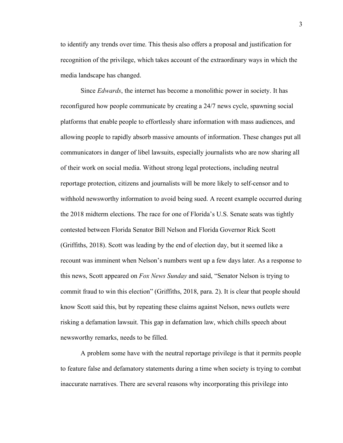to identify any trends over time. This thesis also offers a proposal and justification for recognition of the privilege, which takes account of the extraordinary ways in which the media landscape has changed.

Since *Edwards*, the internet has become a monolithic power in society. It has reconfigured how people communicate by creating a 24/7 news cycle, spawning social platforms that enable people to effortlessly share information with mass audiences, and allowing people to rapidly absorb massive amounts of information. These changes put all communicators in danger of libel lawsuits, especially journalists who are now sharing all of their work on social media. Without strong legal protections, including neutral reportage protection, citizens and journalists will be more likely to self-censor and to withhold newsworthy information to avoid being sued. A recent example occurred during the 2018 midterm elections. The race for one of Florida's U.S. Senate seats was tightly contested between Florida Senator Bill Nelson and Florida Governor Rick Scott (Griffiths, 2018). Scott was leading by the end of election day, but it seemed like a recount was imminent when Nelson's numbers went up a few days later. As a response to this news, Scott appeared on *Fox News Sunday* and said, "Senator Nelson is trying to commit fraud to win this election" (Griffiths, 2018, para. 2). It is clear that people should know Scott said this, but by repeating these claims against Nelson, news outlets were risking a defamation lawsuit. This gap in defamation law, which chills speech about newsworthy remarks, needs to be filled.

A problem some have with the neutral reportage privilege is that it permits people to feature false and defamatory statements during a time when society is trying to combat inaccurate narratives. There are several reasons why incorporating this privilege into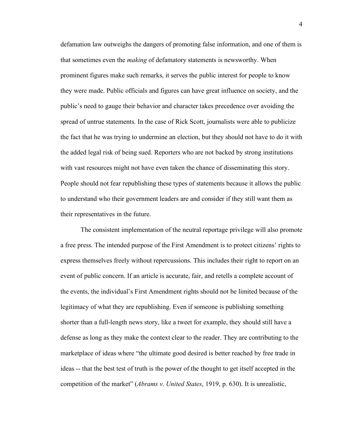defamation law outweighs the dangers of promoting false information, and one of them is that sometimes even the *making* of defamatory statements is newsworthy. When prominent figures make such remarks, it serves the public interest for people to know they were made. Public officials and figures can have great influence on society, and the public's need to gauge their behavior and character takes precedence over avoiding the spread of untrue statements. In the case of Rick Scott, journalists were able to publicize the fact that he was trying to undermine an election, but they should not have to do it with the added legal risk of being sued. Reporters who are not backed by strong institutions with vast resources might not have even taken the chance of disseminating this story. People should not fear republishing these types of statements because it allows the public to understand who their government leaders are and consider if they still want them as their representatives in the future.

The consistent implementation of the neutral reportage privilege will also promote a free press. The intended purpose of the First Amendment is to protect citizens' rights to express themselves freely without repercussions. This includes their right to report on an event of public concern. If an article is accurate, fair, and retells a complete account of the events, the individual's First Amendment rights should not be limited because of the legitimacy of what they are republishing. Even if someone is publishing something shorter than a full-length news story, like a tweet for example, they should still have a defense as long as they make the context clear to the reader. They are contributing to the marketplace of ideas where "the ultimate good desired is better reached by free trade in ideas -- that the best test of truth is the power of the thought to get itself accepted in the competition of the market" (*Abrams v. United States*, 1919, p. 630). It is unrealistic,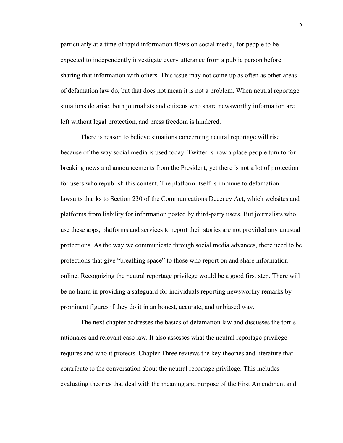particularly at a time of rapid information flows on social media, for people to be expected to independently investigate every utterance from a public person before sharing that information with others. This issue may not come up as often as other areas of defamation law do, but that does not mean it is not a problem. When neutral reportage situations do arise, both journalists and citizens who share newsworthy information are left without legal protection, and press freedom is hindered.

There is reason to believe situations concerning neutral reportage will rise because of the way social media is used today. Twitter is now a place people turn to for breaking news and announcements from the President, yet there is not a lot of protection for users who republish this content. The platform itself is immune to defamation lawsuits thanks to Section 230 of the Communications Decency Act, which websites and platforms from liability for information posted by third-party users. But journalists who use these apps, platforms and services to report their stories are not provided any unusual protections. As the way we communicate through social media advances, there need to be protections that give "breathing space" to those who report on and share information online. Recognizing the neutral reportage privilege would be a good first step. There will be no harm in providing a safeguard for individuals reporting newsworthy remarks by prominent figures if they do it in an honest, accurate, and unbiased way.

The next chapter addresses the basics of defamation law and discusses the tort's rationales and relevant case law. It also assesses what the neutral reportage privilege requires and who it protects. Chapter Three reviews the key theories and literature that contribute to the conversation about the neutral reportage privilege. This includes evaluating theories that deal with the meaning and purpose of the First Amendment and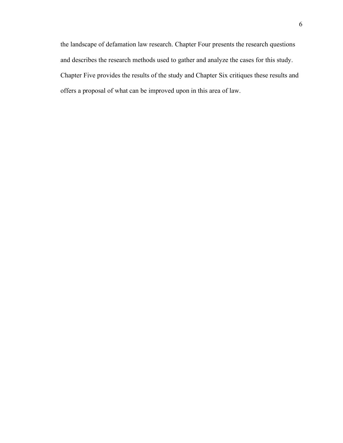the landscape of defamation law research. Chapter Four presents the research questions and describes the research methods used to gather and analyze the cases for this study. Chapter Five provides the results of the study and Chapter Six critiques these results and offers a proposal of what can be improved upon in this area of law.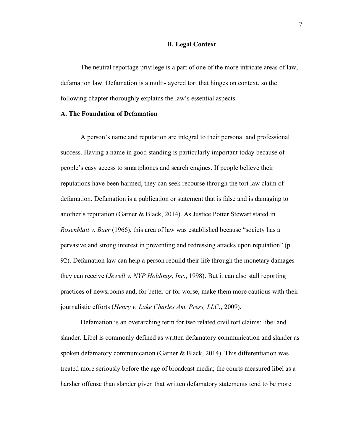#### **II. Legal Context**

The neutral reportage privilege is a part of one of the more intricate areas of law, defamation law. Defamation is a multi-layered tort that hinges on context, so the following chapter thoroughly explains the law's essential aspects.

## **A. The Foundation of Defamation**

A person's name and reputation are integral to their personal and professional success. Having a name in good standing is particularly important today because of people's easy access to smartphones and search engines. If people believe their reputations have been harmed, they can seek recourse through the tort law claim of defamation. Defamation is a publication or statement that is false and is damaging to another's reputation (Garner & Black, 2014). As Justice Potter Stewart stated in *Rosenblatt v. Baer* (1966), this area of law was established because "society has a pervasive and strong interest in preventing and redressing attacks upon reputation" (p. 92). Defamation law can help a person rebuild their life through the monetary damages they can receive (*Jewell v. NYP Holdings, Inc.*, 1998). But it can also stall reporting practices of newsrooms and, for better or for worse, make them more cautious with their journalistic efforts (*Henry v. Lake Charles Am. Press, LLC.*, 2009).

Defamation is an overarching term for two related civil tort claims: libel and slander. Libel is commonly defined as written defamatory communication and slander as spoken defamatory communication (Garner & Black, 2014). This differentiation was treated more seriously before the age of broadcast media; the courts measured libel as a harsher offense than slander given that written defamatory statements tend to be more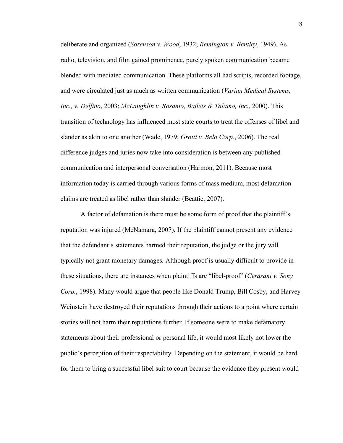deliberate and organized (*Sorenson v. Wood*, 1932; *Remington v. Bentley*, 1949). As radio, television, and film gained prominence, purely spoken communication became blended with mediated communication. These platforms all had scripts, recorded footage, and were circulated just as much as written communication (*Varian Medical Systems, Inc., v. Delfino*, 2003; *McLaughlin v. Rosanio, Bailets & Talamo, Inc.*, 2000). This transition of technology has influenced most state courts to treat the offenses of libel and slander as akin to one another (Wade, 1979; *Grotti v. Belo Corp.*, 2006). The real difference judges and juries now take into consideration is between any published communication and interpersonal conversation (Harmon, 2011). Because most information today is carried through various forms of mass medium, most defamation claims are treated as libel rather than slander (Beattie, 2007).

A factor of defamation is there must be some form of proof that the plaintiff's reputation was injured (McNamara, 2007). If the plaintiff cannot present any evidence that the defendant's statements harmed their reputation, the judge or the jury will typically not grant monetary damages. Although proof is usually difficult to provide in these situations, there are instances when plaintiffs are "libel-proof" (*Cerasani v. Sony Corp.*, 1998). Many would argue that people like Donald Trump, Bill Cosby, and Harvey Weinstein have destroyed their reputations through their actions to a point where certain stories will not harm their reputations further. If someone were to make defamatory statements about their professional or personal life, it would most likely not lower the public's perception of their respectability. Depending on the statement, it would be hard for them to bring a successful libel suit to court because the evidence they present would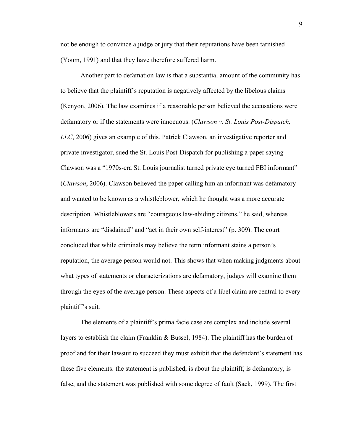not be enough to convince a judge or jury that their reputations have been tarnished (Youm, 1991) and that they have therefore suffered harm.

Another part to defamation law is that a substantial amount of the community has to believe that the plaintiff's reputation is negatively affected by the libelous claims (Kenyon, 2006). The law examines if a reasonable person believed the accusations were defamatory or if the statements were innocuous. (*Clawson v. St. Louis Post-Dispatch, LLC*, 2006) gives an example of this. Patrick Clawson, an investigative reporter and private investigator, sued the St. Louis Post-Dispatch for publishing a paper saying Clawson was a "1970s-era St. Louis journalist turned private eye turned FBI informant" (*Clawson*, 2006). Clawson believed the paper calling him an informant was defamatory and wanted to be known as a whistleblower, which he thought was a more accurate description. Whistleblowers are "courageous law-abiding citizens," he said, whereas informants are "disdained" and "act in their own self-interest" (p. 309). The court concluded that while criminals may believe the term informant stains a person's reputation, the average person would not. This shows that when making judgments about what types of statements or characterizations are defamatory, judges will examine them through the eyes of the average person. These aspects of a libel claim are central to every plaintiff's suit.

The elements of a plaintiff's prima facie case are complex and include several layers to establish the claim (Franklin & Bussel, 1984). The plaintiff has the burden of proof and for their lawsuit to succeed they must exhibit that the defendant's statement has these five elements: the statement is published, is about the plaintiff, is defamatory, is false, and the statement was published with some degree of fault (Sack, 1999). The first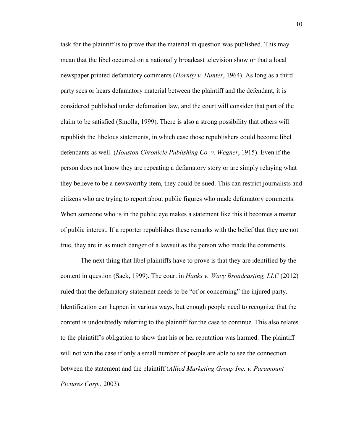task for the plaintiff is to prove that the material in question was published. This may mean that the libel occurred on a nationally broadcast television show or that a local newspaper printed defamatory comments (*Hornby v. Hunter*, 1964). As long as a third party sees or hears defamatory material between the plaintiff and the defendant, it is considered published under defamation law, and the court will consider that part of the claim to be satisfied (Smolla, 1999). There is also a strong possibility that others will republish the libelous statements, in which case those republishers could become libel defendants as well. (*Houston Chronicle Publishing Co. v. Wegner*, 1915). Even if the person does not know they are repeating a defamatory story or are simply relaying what they believe to be a newsworthy item, they could be sued. This can restrict journalists and citizens who are trying to report about public figures who made defamatory comments. When someone who is in the public eye makes a statement like this it becomes a matter of public interest. If a reporter republishes these remarks with the belief that they are not true, they are in as much danger of a lawsuit as the person who made the comments.

The next thing that libel plaintiffs have to prove is that they are identified by the content in question (Sack, 1999). The court in *Hanks v. Wavy Broadcasting, LLC* (2012) ruled that the defamatory statement needs to be "of or concerning" the injured party. Identification can happen in various ways, but enough people need to recognize that the content is undoubtedly referring to the plaintiff for the case to continue. This also relates to the plaintiff's obligation to show that his or her reputation was harmed. The plaintiff will not win the case if only a small number of people are able to see the connection between the statement and the plaintiff (*Allied Marketing Group Inc. v. Paramount Pictures Corp.*, 2003).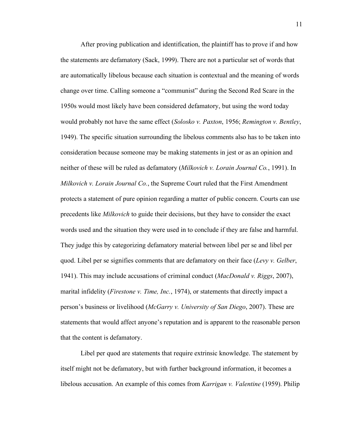After proving publication and identification, the plaintiff has to prove if and how the statements are defamatory (Sack, 1999). There are not a particular set of words that are automatically libelous because each situation is contextual and the meaning of words change over time. Calling someone a "communist" during the Second Red Scare in the 1950s would most likely have been considered defamatory, but using the word today would probably not have the same effect (*Solosko v. Paxton*, 1956; *Remington v. Bentley*, 1949). The specific situation surrounding the libelous comments also has to be taken into consideration because someone may be making statements in jest or as an opinion and neither of these will be ruled as defamatory (*Milkovich v. Lorain Journal Co.*, 1991). In *Milkovich v. Lorain Journal Co.*, the Supreme Court ruled that the First Amendment protects a statement of pure opinion regarding a matter of public concern. Courts can use precedents like *Milkovich* to guide their decisions, but they have to consider the exact words used and the situation they were used in to conclude if they are false and harmful. They judge this by categorizing defamatory material between libel per se and libel per quod. Libel per se signifies comments that are defamatory on their face (*Levy v. Gelber*, 1941). This may include accusations of criminal conduct (*MacDonald v. Riggs*, 2007), marital infidelity (*Firestone v. Time, Inc.*, 1974), or statements that directly impact a person's business or livelihood (*McGarry v. University of San Diego*, 2007). These are statements that would affect anyone's reputation and is apparent to the reasonable person that the content is defamatory.

Libel per quod are statements that require extrinsic knowledge. The statement by itself might not be defamatory, but with further background information, it becomes a libelous accusation. An example of this comes from *Karrigan v. Valentine* (1959). Philip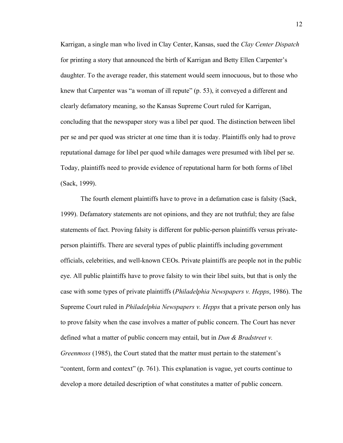Karrigan, a single man who lived in Clay Center, Kansas, sued the *Clay Center Dispatch* for printing a story that announced the birth of Karrigan and Betty Ellen Carpenter's daughter. To the average reader, this statement would seem innocuous, but to those who knew that Carpenter was "a woman of ill repute" (p. 53), it conveyed a different and clearly defamatory meaning, so the Kansas Supreme Court ruled for Karrigan, concluding that the newspaper story was a libel per quod. The distinction between libel per se and per quod was stricter at one time than it is today. Plaintiffs only had to prove reputational damage for libel per quod while damages were presumed with libel per se. Today, plaintiffs need to provide evidence of reputational harm for both forms of libel (Sack, 1999).

The fourth element plaintiffs have to prove in a defamation case is falsity (Sack, 1999). Defamatory statements are not opinions, and they are not truthful; they are false statements of fact. Proving falsity is different for public-person plaintiffs versus privateperson plaintiffs. There are several types of public plaintiffs including government officials, celebrities, and well-known CEOs. Private plaintiffs are people not in the public eye. All public plaintiffs have to prove falsity to win their libel suits, but that is only the case with some types of private plaintiffs (*Philadelphia Newspapers v. Hepps*, 1986). The Supreme Court ruled in *Philadelphia Newspapers v. Hepps* that a private person only has to prove falsity when the case involves a matter of public concern. The Court has never defined what a matter of public concern may entail, but in *Dun & Bradstreet v. Greenmoss* (1985), the Court stated that the matter must pertain to the statement's "content, form and context" (p. 761). This explanation is vague, yet courts continue to develop a more detailed description of what constitutes a matter of public concern.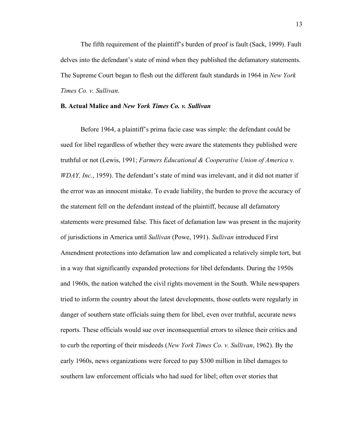The fifth requirement of the plaintiff's burden of proof is fault (Sack, 1999). Fault delves into the defendant's state of mind when they published the defamatory statements. The Supreme Court began to flesh out the different fault standards in 1964 in *New York Times Co. v. Sullivan*.

#### **B. Actual Malice and** *New York Times Co. v. Sullivan*

Before 1964, a plaintiff's prima facie case was simple: the defendant could be sued for libel regardless of whether they were aware the statements they published were truthful or not (Lewis, 1991; *Farmers Educational & Cooperative Union of America v. WDAY, Inc.*, 1959). The defendant's state of mind was irrelevant, and it did not matter if the error was an innocent mistake. To evade liability, the burden to prove the accuracy of the statement fell on the defendant instead of the plaintiff, because all defamatory statements were presumed false. This facet of defamation law was present in the majority of jurisdictions in America until *Sullivan* (Powe, 1991). *Sullivan* introduced First Amendment protections into defamation law and complicated a relatively simple tort, but in a way that significantly expanded protections for libel defendants. During the 1950s and 1960s, the nation watched the civil rights movement in the South. While newspapers tried to inform the country about the latest developments, those outlets were regularly in danger of southern state officials suing them for libel, even over truthful, accurate news reports. These officials would sue over inconsequential errors to silence their critics and to curb the reporting of their misdeeds (*New York Times Co. v. Sullivan*, 1962). By the early 1960s, news organizations were forced to pay \$300 million in libel damages to southern law enforcement officials who had sued for libel; often over stories that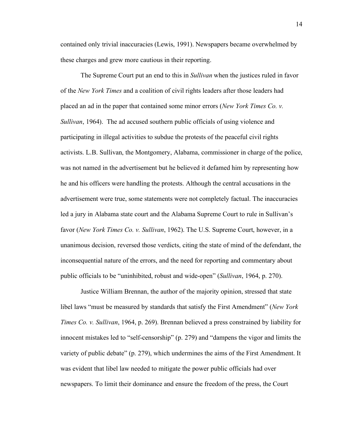contained only trivial inaccuracies (Lewis, 1991). Newspapers became overwhelmed by these charges and grew more cautious in their reporting.

The Supreme Court put an end to this in *Sullivan* when the justices ruled in favor of the *New York Times* and a coalition of civil rights leaders after those leaders had placed an ad in the paper that contained some minor errors (*New York Times Co. v. Sullivan*, 1964). The ad accused southern public officials of using violence and participating in illegal activities to subdue the protests of the peaceful civil rights activists. L.B. Sullivan, the Montgomery, Alabama, commissioner in charge of the police, was not named in the advertisement but he believed it defamed him by representing how he and his officers were handling the protests. Although the central accusations in the advertisement were true, some statements were not completely factual. The inaccuracies led a jury in Alabama state court and the Alabama Supreme Court to rule in Sullivan's favor (*New York Times Co. v. Sullivan*, 1962). The U.S. Supreme Court, however, in a unanimous decision, reversed those verdicts, citing the state of mind of the defendant, the inconsequential nature of the errors, and the need for reporting and commentary about public officials to be "uninhibited, robust and wide-open" (*Sullivan*, 1964, p. 270).

Justice William Brennan, the author of the majority opinion, stressed that state libel laws "must be measured by standards that satisfy the First Amendment" (*New York Times Co. v. Sullivan*, 1964, p. 269). Brennan believed a press constrained by liability for innocent mistakes led to "self-censorship" (p. 279) and "dampens the vigor and limits the variety of public debate" (p. 279), which undermines the aims of the First Amendment. It was evident that libel law needed to mitigate the power public officials had over newspapers. To limit their dominance and ensure the freedom of the press, the Court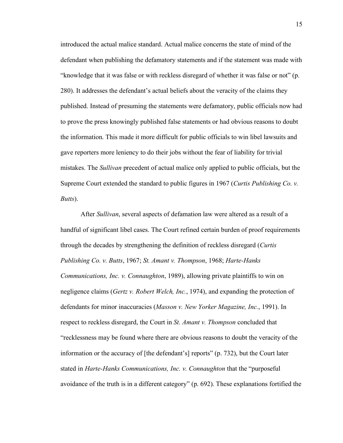introduced the actual malice standard. Actual malice concerns the state of mind of the defendant when publishing the defamatory statements and if the statement was made with "knowledge that it was false or with reckless disregard of whether it was false or not" (p. 280). It addresses the defendant's actual beliefs about the veracity of the claims they published. Instead of presuming the statements were defamatory, public officials now had to prove the press knowingly published false statements or had obvious reasons to doubt the information. This made it more difficult for public officials to win libel lawsuits and gave reporters more leniency to do their jobs without the fear of liability for trivial mistakes. The *Sullivan* precedent of actual malice only applied to public officials, but the Supreme Court extended the standard to public figures in 1967 (*Curtis Publishing Co. v. Butts*).

After *Sullivan*, several aspects of defamation law were altered as a result of a handful of significant libel cases. The Court refined certain burden of proof requirements through the decades by strengthening the definition of reckless disregard (*Curtis Publishing Co. v. Butts*, 1967; *St. Amant v. Thompson*, 1968; *Harte-Hanks Communications, Inc. v. Connaughton*, 1989), allowing private plaintiffs to win on negligence claims (*Gertz v. Robert Welch, Inc.*, 1974), and expanding the protection of defendants for minor inaccuracies (*Masson v. New Yorker Magazine, Inc.*, 1991). In respect to reckless disregard, the Court in *St. Amant v. Thompson* concluded that "recklessness may be found where there are obvious reasons to doubt the veracity of the information or the accuracy of [the defendant's] reports" (p. 732), but the Court later stated in *Harte-Hanks Communications, Inc. v. Connaughton* that the "purposeful avoidance of the truth is in a different category" (p. 692). These explanations fortified the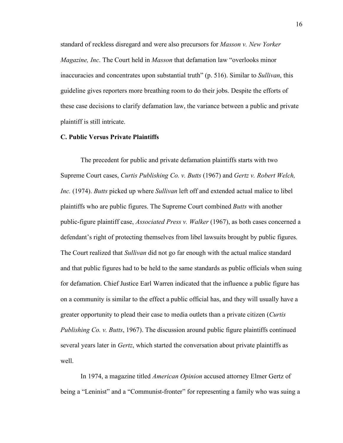standard of reckless disregard and were also precursors for *Masson v. New Yorker Magazine, Inc*. The Court held in *Masson* that defamation law "overlooks minor inaccuracies and concentrates upon substantial truth" (p. 516). Similar to *Sullivan*, this guideline gives reporters more breathing room to do their jobs. Despite the efforts of these case decisions to clarify defamation law, the variance between a public and private plaintiff is still intricate.

## **C. Public Versus Private Plaintiffs**

The precedent for public and private defamation plaintiffs starts with two Supreme Court cases, *Curtis Publishing Co. v. Butts* (1967) and *Gertz v. Robert Welch, Inc.* (1974). *Butts* picked up where *Sullivan* left off and extended actual malice to libel plaintiffs who are public figures. The Supreme Court combined *Butts* with another public-figure plaintiff case, *Associated Press v. Walker* (1967), as both cases concerned a defendant's right of protecting themselves from libel lawsuits brought by public figures. The Court realized that *Sullivan* did not go far enough with the actual malice standard and that public figures had to be held to the same standards as public officials when suing for defamation. Chief Justice Earl Warren indicated that the influence a public figure has on a community is similar to the effect a public official has, and they will usually have a greater opportunity to plead their case to media outlets than a private citizen (*Curtis Publishing Co. v. Butts*, 1967). The discussion around public figure plaintiffs continued several years later in *Gertz*, which started the conversation about private plaintiffs as well.

In 1974, a magazine titled *American Opinion* accused attorney Elmer Gertz of being a "Leninist" and a "Communist-fronter" for representing a family who was suing a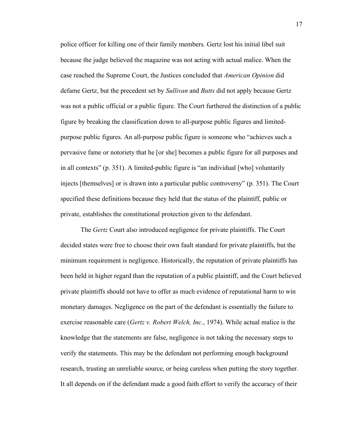police officer for killing one of their family members. Gertz lost his initial libel suit because the judge believed the magazine was not acting with actual malice. When the case reached the Supreme Court, the Justices concluded that *American Opinion* did defame Gertz, but the precedent set by *Sullivan* and *Butts* did not apply because Gertz was not a public official or a public figure. The Court furthered the distinction of a public figure by breaking the classification down to all-purpose public figures and limitedpurpose public figures. An all-purpose public figure is someone who "achieves such a pervasive fame or notoriety that he [or she] becomes a public figure for all purposes and in all contexts" (p. 351). A limited-public figure is "an individual [who] voluntarily injects [themselves] or is drawn into a particular public controversy" (p. 351). The Court specified these definitions because they held that the status of the plaintiff, public or private, establishes the constitutional protection given to the defendant.

The *Gertz* Court also introduced negligence for private plaintiffs. The Court decided states were free to choose their own fault standard for private plaintiffs, but the minimum requirement is negligence. Historically, the reputation of private plaintiffs has been held in higher regard than the reputation of a public plaintiff, and the Court believed private plaintiffs should not have to offer as much evidence of reputational harm to win monetary damages. Negligence on the part of the defendant is essentially the failure to exercise reasonable care (*Gertz v. Robert Welch, Inc.*, 1974). While actual malice is the knowledge that the statements are false, negligence is not taking the necessary steps to verify the statements. This may be the defendant not performing enough background research, trusting an unreliable source, or being careless when putting the story together. It all depends on if the defendant made a good faith effort to verify the accuracy of their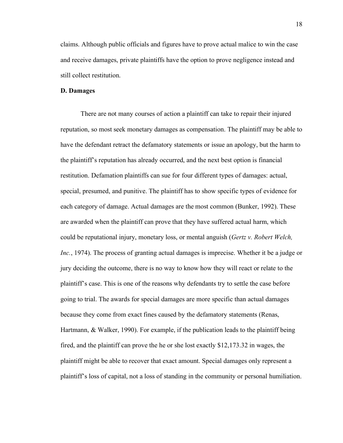claims. Although public officials and figures have to prove actual malice to win the case and receive damages, private plaintiffs have the option to prove negligence instead and still collect restitution.

#### **D. Damages**

There are not many courses of action a plaintiff can take to repair their injured reputation, so most seek monetary damages as compensation. The plaintiff may be able to have the defendant retract the defamatory statements or issue an apology, but the harm to the plaintiff's reputation has already occurred, and the next best option is financial restitution. Defamation plaintiffs can sue for four different types of damages: actual, special, presumed, and punitive. The plaintiff has to show specific types of evidence for each category of damage. Actual damages are the most common (Bunker, 1992). These are awarded when the plaintiff can prove that they have suffered actual harm, which could be reputational injury, monetary loss, or mental anguish (*Gertz v. Robert Welch, Inc.*, 1974). The process of granting actual damages is imprecise. Whether it be a judge or jury deciding the outcome, there is no way to know how they will react or relate to the plaintiff's case. This is one of the reasons why defendants try to settle the case before going to trial. The awards for special damages are more specific than actual damages because they come from exact fines caused by the defamatory statements (Renas, Hartmann, & Walker, 1990). For example, if the publication leads to the plaintiff being fired, and the plaintiff can prove the he or she lost exactly \$12,173.32 in wages, the plaintiff might be able to recover that exact amount. Special damages only represent a plaintiff's loss of capital, not a loss of standing in the community or personal humiliation.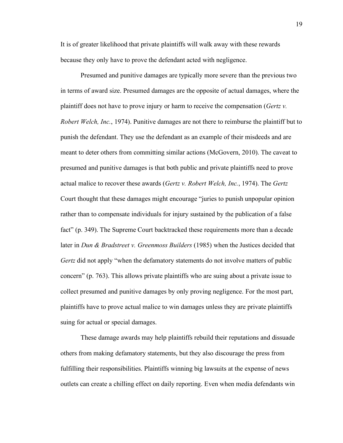It is of greater likelihood that private plaintiffs will walk away with these rewards because they only have to prove the defendant acted with negligence.

Presumed and punitive damages are typically more severe than the previous two in terms of award size. Presumed damages are the opposite of actual damages, where the plaintiff does not have to prove injury or harm to receive the compensation (*Gertz v. Robert Welch, Inc.*, 1974). Punitive damages are not there to reimburse the plaintiff but to punish the defendant. They use the defendant as an example of their misdeeds and are meant to deter others from committing similar actions (McGovern, 2010). The caveat to presumed and punitive damages is that both public and private plaintiffs need to prove actual malice to recover these awards (*Gertz v. Robert Welch, Inc.*, 1974). The *Gertz* Court thought that these damages might encourage "juries to punish unpopular opinion rather than to compensate individuals for injury sustained by the publication of a false fact" (p. 349). The Supreme Court backtracked these requirements more than a decade later in *Dun & Bradstreet v. Greenmoss Builders* (1985) when the Justices decided that *Gertz* did not apply "when the defamatory statements do not involve matters of public concern" (p. 763). This allows private plaintiffs who are suing about a private issue to collect presumed and punitive damages by only proving negligence. For the most part, plaintiffs have to prove actual malice to win damages unless they are private plaintiffs suing for actual or special damages.

These damage awards may help plaintiffs rebuild their reputations and dissuade others from making defamatory statements, but they also discourage the press from fulfilling their responsibilities. Plaintiffs winning big lawsuits at the expense of news outlets can create a chilling effect on daily reporting. Even when media defendants win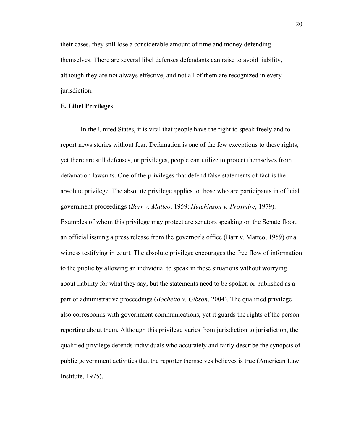their cases, they still lose a considerable amount of time and money defending themselves. There are several libel defenses defendants can raise to avoid liability, although they are not always effective, and not all of them are recognized in every jurisdiction.

#### **E. Libel Privileges**

In the United States, it is vital that people have the right to speak freely and to report news stories without fear. Defamation is one of the few exceptions to these rights, yet there are still defenses, or privileges, people can utilize to protect themselves from defamation lawsuits. One of the privileges that defend false statements of fact is the absolute privilege. The absolute privilege applies to those who are participants in official government proceedings (*Barr v. Matteo*, 1959; *Hutchinson v. Proxmire*, 1979). Examples of whom this privilege may protect are senators speaking on the Senate floor, an official issuing a press release from the governor's office (Barr v. Matteo, 1959) or a witness testifying in court. The absolute privilege encourages the free flow of information to the public by allowing an individual to speak in these situations without worrying about liability for what they say, but the statements need to be spoken or published as a part of administrative proceedings (*Bochetto v. Gibson*, 2004). The qualified privilege also corresponds with government communications, yet it guards the rights of the person reporting about them. Although this privilege varies from jurisdiction to jurisdiction, the qualified privilege defends individuals who accurately and fairly describe the synopsis of public government activities that the reporter themselves believes is true (American Law Institute, 1975).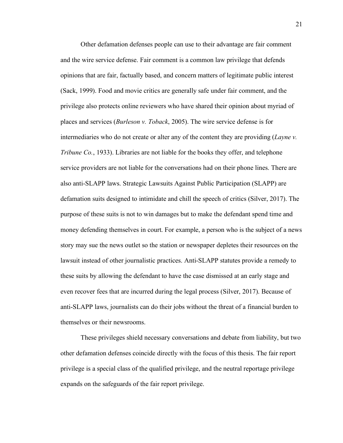Other defamation defenses people can use to their advantage are fair comment and the wire service defense. Fair comment is a common law privilege that defends opinions that are fair, factually based, and concern matters of legitimate public interest (Sack, 1999). Food and movie critics are generally safe under fair comment, and the privilege also protects online reviewers who have shared their opinion about myriad of places and services (*Burleson v. Toback*, 2005). The wire service defense is for intermediaries who do not create or alter any of the content they are providing (*Layne v. Tribune Co.*, 1933). Libraries are not liable for the books they offer, and telephone service providers are not liable for the conversations had on their phone lines. There are also anti-SLAPP laws. Strategic Lawsuits Against Public Participation (SLAPP) are defamation suits designed to intimidate and chill the speech of critics (Silver, 2017). The purpose of these suits is not to win damages but to make the defendant spend time and money defending themselves in court. For example, a person who is the subject of a news story may sue the news outlet so the station or newspaper depletes their resources on the lawsuit instead of other journalistic practices. Anti-SLAPP statutes provide a remedy to these suits by allowing the defendant to have the case dismissed at an early stage and even recover fees that are incurred during the legal process (Silver, 2017). Because of anti-SLAPP laws, journalists can do their jobs without the threat of a financial burden to themselves or their newsrooms.

These privileges shield necessary conversations and debate from liability, but two other defamation defenses coincide directly with the focus of this thesis. The fair report privilege is a special class of the qualified privilege, and the neutral reportage privilege expands on the safeguards of the fair report privilege.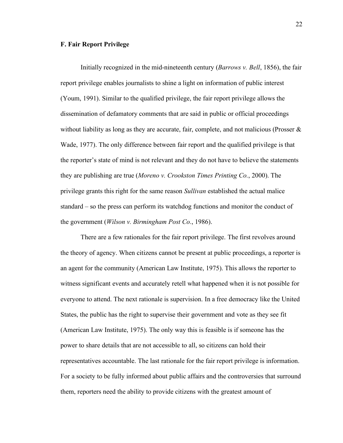## **F. Fair Report Privilege**

Initially recognized in the mid-nineteenth century (*Barrows v. Bell*, 1856), the fair report privilege enables journalists to shine a light on information of public interest (Youm, 1991). Similar to the qualified privilege, the fair report privilege allows the dissemination of defamatory comments that are said in public or official proceedings without liability as long as they are accurate, fair, complete, and not malicious (Prosser  $\&$ Wade, 1977). The only difference between fair report and the qualified privilege is that the reporter's state of mind is not relevant and they do not have to believe the statements they are publishing are true (*Moreno v. Crookston Times Printing Co.*, 2000). The privilege grants this right for the same reason *Sullivan* established the actual malice standard – so the press can perform its watchdog functions and monitor the conduct of the government (*Wilson v. Birmingham Post Co.*, 1986).

There are a few rationales for the fair report privilege. The first revolves around the theory of agency. When citizens cannot be present at public proceedings, a reporter is an agent for the community (American Law Institute, 1975). This allows the reporter to witness significant events and accurately retell what happened when it is not possible for everyone to attend. The next rationale is supervision. In a free democracy like the United States, the public has the right to supervise their government and vote as they see fit (American Law Institute, 1975). The only way this is feasible is if someone has the power to share details that are not accessible to all, so citizens can hold their representatives accountable. The last rationale for the fair report privilege is information. For a society to be fully informed about public affairs and the controversies that surround them, reporters need the ability to provide citizens with the greatest amount of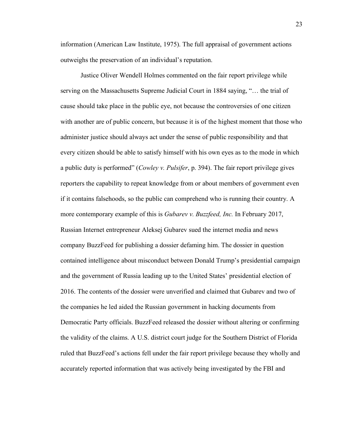information (American Law Institute, 1975). The full appraisal of government actions outweighs the preservation of an individual's reputation.

Justice Oliver Wendell Holmes commented on the fair report privilege while serving on the Massachusetts Supreme Judicial Court in 1884 saying, "… the trial of cause should take place in the public eye, not because the controversies of one citizen with another are of public concern, but because it is of the highest moment that those who administer justice should always act under the sense of public responsibility and that every citizen should be able to satisfy himself with his own eyes as to the mode in which a public duty is performed" (*Cowley v. Pulsifer*, p. 394). The fair report privilege gives reporters the capability to repeat knowledge from or about members of government even if it contains falsehoods, so the public can comprehend who is running their country. A more contemporary example of this is *Gubarev v. Buzzfeed, Inc.* In February 2017, Russian Internet entrepreneur Aleksej Gubarev sued the internet media and news company BuzzFeed for publishing a dossier defaming him. The dossier in question contained intelligence about misconduct between Donald Trump's presidential campaign and the government of Russia leading up to the United States' presidential election of 2016. The contents of the dossier were unverified and claimed that Gubarev and two of the companies he led aided the Russian government in hacking documents from Democratic Party officials. BuzzFeed released the dossier without altering or confirming the validity of the claims. A U.S. district court judge for the Southern District of Florida ruled that BuzzFeed's actions fell under the fair report privilege because they wholly and accurately reported information that was actively being investigated by the FBI and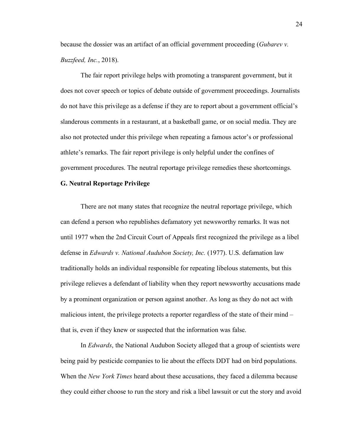because the dossier was an artifact of an official government proceeding (*Gubarev v. Buzzfeed, Inc.*, 2018).

The fair report privilege helps with promoting a transparent government, but it does not cover speech or topics of debate outside of government proceedings. Journalists do not have this privilege as a defense if they are to report about a government official's slanderous comments in a restaurant, at a basketball game, or on social media. They are also not protected under this privilege when repeating a famous actor's or professional athlete's remarks. The fair report privilege is only helpful under the confines of government procedures. The neutral reportage privilege remedies these shortcomings.

#### **G. Neutral Reportage Privilege**

There are not many states that recognize the neutral reportage privilege, which can defend a person who republishes defamatory yet newsworthy remarks. It was not until 1977 when the 2nd Circuit Court of Appeals first recognized the privilege as a libel defense in *Edwards v. National Audubon Society, Inc.* (1977). U.S. defamation law traditionally holds an individual responsible for repeating libelous statements, but this privilege relieves a defendant of liability when they report newsworthy accusations made by a prominent organization or person against another. As long as they do not act with malicious intent, the privilege protects a reporter regardless of the state of their mind – that is, even if they knew or suspected that the information was false.

In *Edwards*, the National Audubon Society alleged that a group of scientists were being paid by pesticide companies to lie about the effects DDT had on bird populations. When the *New York Times* heard about these accusations, they faced a dilemma because they could either choose to run the story and risk a libel lawsuit or cut the story and avoid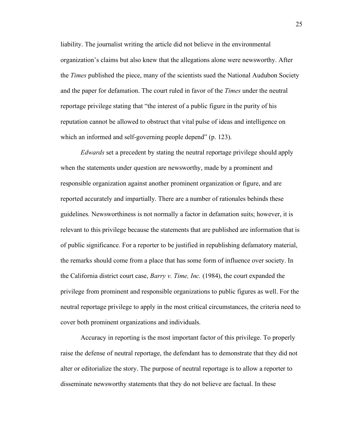liability. The journalist writing the article did not believe in the environmental organization's claims but also knew that the allegations alone were newsworthy. After the *Times* published the piece, many of the scientists sued the National Audubon Society and the paper for defamation. The court ruled in favor of the *Times* under the neutral reportage privilege stating that "the interest of a public figure in the purity of his reputation cannot be allowed to obstruct that vital pulse of ideas and intelligence on which an informed and self-governing people depend" (p. 123).

*Edwards* set a precedent by stating the neutral reportage privilege should apply when the statements under question are newsworthy, made by a prominent and responsible organization against another prominent organization or figure, and are reported accurately and impartially. There are a number of rationales behinds these guidelines. Newsworthiness is not normally a factor in defamation suits; however, it is relevant to this privilege because the statements that are published are information that is of public significance. For a reporter to be justified in republishing defamatory material, the remarks should come from a place that has some form of influence over society. In the California district court case, *Barry v. Time, Inc.* (1984), the court expanded the privilege from prominent and responsible organizations to public figures as well. For the neutral reportage privilege to apply in the most critical circumstances, the criteria need to cover both prominent organizations and individuals.

Accuracy in reporting is the most important factor of this privilege. To properly raise the defense of neutral reportage, the defendant has to demonstrate that they did not alter or editorialize the story. The purpose of neutral reportage is to allow a reporter to disseminate newsworthy statements that they do not believe are factual. In these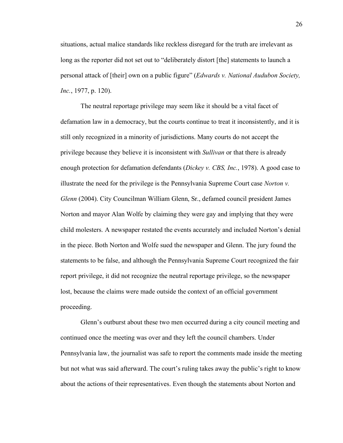situations, actual malice standards like reckless disregard for the truth are irrelevant as long as the reporter did not set out to "deliberately distort [the] statements to launch a personal attack of [their] own on a public figure" (*Edwards v. National Audubon Society, Inc.*, 1977, p. 120).

The neutral reportage privilege may seem like it should be a vital facet of defamation law in a democracy, but the courts continue to treat it inconsistently, and it is still only recognized in a minority of jurisdictions. Many courts do not accept the privilege because they believe it is inconsistent with *Sullivan* or that there is already enough protection for defamation defendants (*Dickey v. CBS, Inc.*, 1978). A good case to illustrate the need for the privilege is the Pennsylvania Supreme Court case *Norton v. Glenn* (2004). City Councilman William Glenn, Sr., defamed council president James Norton and mayor Alan Wolfe by claiming they were gay and implying that they were child molesters. A newspaper restated the events accurately and included Norton's denial in the piece. Both Norton and Wolfe sued the newspaper and Glenn. The jury found the statements to be false, and although the Pennsylvania Supreme Court recognized the fair report privilege, it did not recognize the neutral reportage privilege, so the newspaper lost, because the claims were made outside the context of an official government proceeding.

Glenn's outburst about these two men occurred during a city council meeting and continued once the meeting was over and they left the council chambers. Under Pennsylvania law, the journalist was safe to report the comments made inside the meeting but not what was said afterward. The court's ruling takes away the public's right to know about the actions of their representatives. Even though the statements about Norton and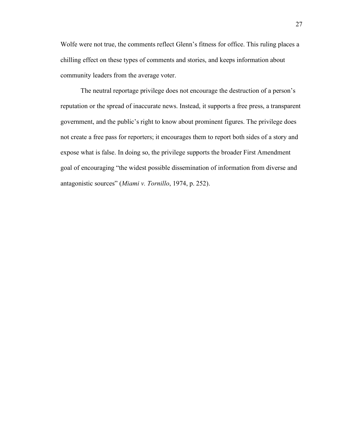Wolfe were not true, the comments reflect Glenn's fitness for office. This ruling places a chilling effect on these types of comments and stories, and keeps information about community leaders from the average voter.

The neutral reportage privilege does not encourage the destruction of a person's reputation or the spread of inaccurate news. Instead, it supports a free press, a transparent government, and the public's right to know about prominent figures. The privilege does not create a free pass for reporters; it encourages them to report both sides of a story and expose what is false. In doing so, the privilege supports the broader First Amendment goal of encouraging "the widest possible dissemination of information from diverse and antagonistic sources" (*Miami v. Tornillo*, 1974, p. 252).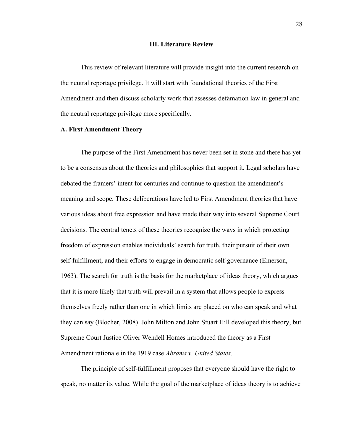### **III. Literature Review**

This review of relevant literature will provide insight into the current research on the neutral reportage privilege. It will start with foundational theories of the First Amendment and then discuss scholarly work that assesses defamation law in general and the neutral reportage privilege more specifically.

# **A. First Amendment Theory**

The purpose of the First Amendment has never been set in stone and there has yet to be a consensus about the theories and philosophies that support it. Legal scholars have debated the framers' intent for centuries and continue to question the amendment's meaning and scope. These deliberations have led to First Amendment theories that have various ideas about free expression and have made their way into several Supreme Court decisions. The central tenets of these theories recognize the ways in which protecting freedom of expression enables individuals' search for truth, their pursuit of their own self-fulfillment, and their efforts to engage in democratic self-governance (Emerson, 1963). The search for truth is the basis for the marketplace of ideas theory, which argues that it is more likely that truth will prevail in a system that allows people to express themselves freely rather than one in which limits are placed on who can speak and what they can say (Blocher, 2008). John Milton and John Stuart Hill developed this theory, but Supreme Court Justice Oliver Wendell Homes introduced the theory as a First Amendment rationale in the 1919 case *Abrams v. United States*.

The principle of self-fulfillment proposes that everyone should have the right to speak, no matter its value. While the goal of the marketplace of ideas theory is to achieve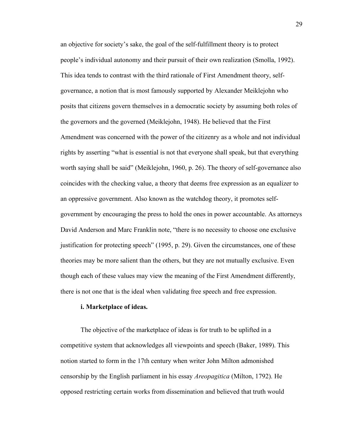an objective for society's sake, the goal of the self-fulfillment theory is to protect people's individual autonomy and their pursuit of their own realization (Smolla, 1992). This idea tends to contrast with the third rationale of First Amendment theory, selfgovernance, a notion that is most famously supported by Alexander Meiklejohn who posits that citizens govern themselves in a democratic society by assuming both roles of the governors and the governed (Meiklejohn, 1948). He believed that the First Amendment was concerned with the power of the citizenry as a whole and not individual rights by asserting "what is essential is not that everyone shall speak, but that everything worth saying shall be said" (Meiklejohn, 1960, p. 26). The theory of self-governance also coincides with the checking value, a theory that deems free expression as an equalizer to an oppressive government. Also known as the watchdog theory, it promotes selfgovernment by encouraging the press to hold the ones in power accountable. As attorneys David Anderson and Marc Franklin note, "there is no necessity to choose one exclusive justification for protecting speech" (1995, p. 29). Given the circumstances, one of these theories may be more salient than the others, but they are not mutually exclusive. Even though each of these values may view the meaning of the First Amendment differently, there is not one that is the ideal when validating free speech and free expression.

### **i. Marketplace of ideas.**

The objective of the marketplace of ideas is for truth to be uplifted in a competitive system that acknowledges all viewpoints and speech (Baker, 1989). This notion started to form in the 17th century when writer John Milton admonished censorship by the English parliament in his essay *Areopagitica* (Milton, 1792). He opposed restricting certain works from dissemination and believed that truth would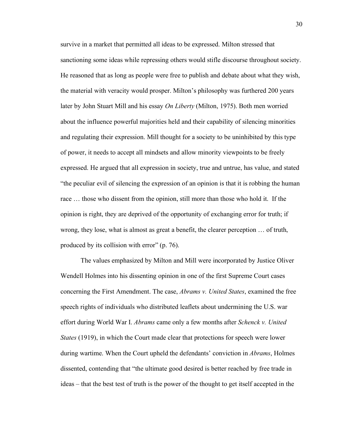survive in a market that permitted all ideas to be expressed. Milton stressed that sanctioning some ideas while repressing others would stifle discourse throughout society. He reasoned that as long as people were free to publish and debate about what they wish, the material with veracity would prosper. Milton's philosophy was furthered 200 years later by John Stuart Mill and his essay *On Liberty* (Milton, 1975). Both men worried about the influence powerful majorities held and their capability of silencing minorities and regulating their expression. Mill thought for a society to be uninhibited by this type of power, it needs to accept all mindsets and allow minority viewpoints to be freely expressed. He argued that all expression in society, true and untrue, has value, and stated "the peculiar evil of silencing the expression of an opinion is that it is robbing the human race … those who dissent from the opinion, still more than those who hold it. If the opinion is right, they are deprived of the opportunity of exchanging error for truth; if wrong, they lose, what is almost as great a benefit, the clearer perception … of truth, produced by its collision with error" (p. 76).

The values emphasized by Milton and Mill were incorporated by Justice Oliver Wendell Holmes into his dissenting opinion in one of the first Supreme Court cases concerning the First Amendment. The case, *Abrams v. United States*, examined the free speech rights of individuals who distributed leaflets about undermining the U.S. war effort during World War I. *Abrams* came only a few months after *Schenck v. United States* (1919), in which the Court made clear that protections for speech were lower during wartime. When the Court upheld the defendants' conviction in *Abrams*, Holmes dissented, contending that "the ultimate good desired is better reached by free trade in ideas – that the best test of truth is the power of the thought to get itself accepted in the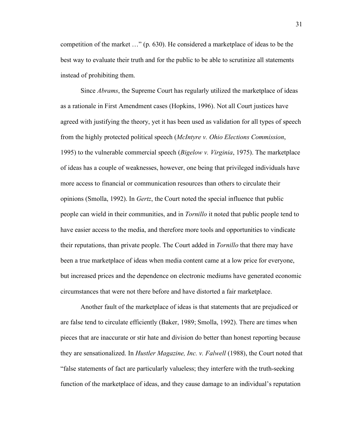competition of the market …" (p. 630). He considered a marketplace of ideas to be the best way to evaluate their truth and for the public to be able to scrutinize all statements instead of prohibiting them.

Since *Abrams*, the Supreme Court has regularly utilized the marketplace of ideas as a rationale in First Amendment cases (Hopkins, 1996). Not all Court justices have agreed with justifying the theory, yet it has been used as validation for all types of speech from the highly protected political speech (*McIntyre v. Ohio Elections Commission*, 1995) to the vulnerable commercial speech (*Bigelow v. Virginia*, 1975). The marketplace of ideas has a couple of weaknesses, however, one being that privileged individuals have more access to financial or communication resources than others to circulate their opinions (Smolla, 1992). In *Gertz*, the Court noted the special influence that public people can wield in their communities, and in *Tornillo* it noted that public people tend to have easier access to the media, and therefore more tools and opportunities to vindicate their reputations, than private people. The Court added in *Tornillo* that there may have been a true marketplace of ideas when media content came at a low price for everyone, but increased prices and the dependence on electronic mediums have generated economic circumstances that were not there before and have distorted a fair marketplace.

Another fault of the marketplace of ideas is that statements that are prejudiced or are false tend to circulate efficiently (Baker, 1989; Smolla, 1992). There are times when pieces that are inaccurate or stir hate and division do better than honest reporting because they are sensationalized. In *Hustler Magazine, Inc. v. Falwell* (1988), the Court noted that "false statements of fact are particularly valueless; they interfere with the truth-seeking function of the marketplace of ideas, and they cause damage to an individual's reputation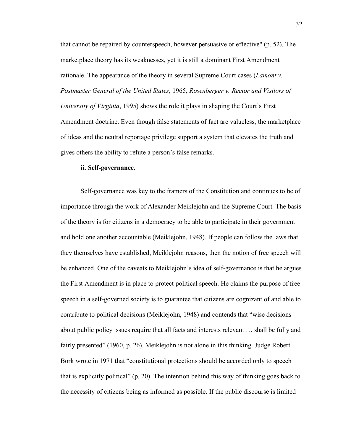that cannot be repaired by counterspeech, however persuasive or effective" (p. 52). The marketplace theory has its weaknesses, yet it is still a dominant First Amendment rationale. The appearance of the theory in several Supreme Court cases (*Lamont v. Postmaster General of the United States*, 1965; *Rosenberger v. Rector and Visitors of University of Virginia*, 1995) shows the role it plays in shaping the Court's First Amendment doctrine. Even though false statements of fact are valueless, the marketplace of ideas and the neutral reportage privilege support a system that elevates the truth and gives others the ability to refute a person's false remarks.

### **ii. Self-governance.**

Self-governance was key to the framers of the Constitution and continues to be of importance through the work of Alexander Meiklejohn and the Supreme Court. The basis of the theory is for citizens in a democracy to be able to participate in their government and hold one another accountable (Meiklejohn, 1948). If people can follow the laws that they themselves have established, Meiklejohn reasons, then the notion of free speech will be enhanced. One of the caveats to Meiklejohn's idea of self-governance is that he argues the First Amendment is in place to protect political speech. He claims the purpose of free speech in a self-governed society is to guarantee that citizens are cognizant of and able to contribute to political decisions (Meiklejohn, 1948) and contends that "wise decisions about public policy issues require that all facts and interests relevant … shall be fully and fairly presented" (1960, p. 26). Meiklejohn is not alone in this thinking. Judge Robert Bork wrote in 1971 that "constitutional protections should be accorded only to speech that is explicitly political" (p. 20). The intention behind this way of thinking goes back to the necessity of citizens being as informed as possible. If the public discourse is limited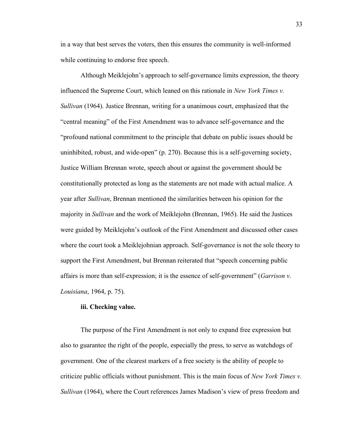in a way that best serves the voters, then this ensures the community is well-informed while continuing to endorse free speech.

Although Meiklejohn's approach to self-governance limits expression, the theory influenced the Supreme Court, which leaned on this rationale in *New York Times v. Sullivan* (1964). Justice Brennan, writing for a unanimous court, emphasized that the "central meaning" of the First Amendment was to advance self-governance and the "profound national commitment to the principle that debate on public issues should be uninhibited, robust, and wide-open" (p. 270). Because this is a self-governing society, Justice William Brennan wrote, speech about or against the government should be constitutionally protected as long as the statements are not made with actual malice. A year after *Sullivan*, Brennan mentioned the similarities between his opinion for the majority in *Sullivan* and the work of Meiklejohn (Brennan, 1965). He said the Justices were guided by Meiklejohn's outlook of the First Amendment and discussed other cases where the court took a Meiklejohnian approach. Self-governance is not the sole theory to support the First Amendment, but Brennan reiterated that "speech concerning public affairs is more than self-expression; it is the essence of self-government" (*Garrison v. Louisiana*, 1964, p. 75).

### **iii. Checking value.**

The purpose of the First Amendment is not only to expand free expression but also to guarantee the right of the people, especially the press, to serve as watchdogs of government. One of the clearest markers of a free society is the ability of people to criticize public officials without punishment. This is the main focus of *New York Times v. Sullivan* (1964), where the Court references James Madison's view of press freedom and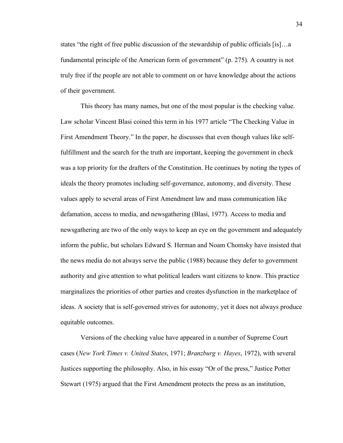states "the right of free public discussion of the stewardship of public officials [is]…a fundamental principle of the American form of government" (p. 275). A country is not truly free if the people are not able to comment on or have knowledge about the actions of their government.

This theory has many names, but one of the most popular is the checking value. Law scholar Vincent Blasi coined this term in his 1977 article "The Checking Value in First Amendment Theory." In the paper, he discusses that even though values like selffulfillment and the search for the truth are important, keeping the government in check was a top priority for the drafters of the Constitution. He continues by noting the types of ideals the theory promotes including self-governance, autonomy, and diversity. These values apply to several areas of First Amendment law and mass communication like defamation, access to media, and newsgathering (Blasi, 1977). Access to media and newsgathering are two of the only ways to keep an eye on the government and adequately inform the public, but scholars Edward S. Herman and Noam Chomsky have insisted that the news media do not always serve the public (1988) because they defer to government authority and give attention to what political leaders want citizens to know. This practice marginalizes the priorities of other parties and creates dysfunction in the marketplace of ideas. A society that is self-governed strives for autonomy, yet it does not always produce equitable outcomes.

Versions of the checking value have appeared in a number of Supreme Court cases (*New York Times v. United States*, 1971; *Branzburg v. Hayes*, 1972), with several Justices supporting the philosophy. Also, in his essay "Or of the press," Justice Potter Stewart (1975) argued that the First Amendment protects the press as an institution,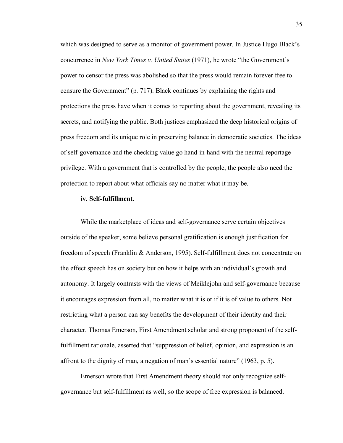which was designed to serve as a monitor of government power. In Justice Hugo Black's concurrence in *New York Times v. United States* (1971), he wrote "the Government's power to censor the press was abolished so that the press would remain forever free to censure the Government" (p. 717). Black continues by explaining the rights and protections the press have when it comes to reporting about the government, revealing its secrets, and notifying the public. Both justices emphasized the deep historical origins of press freedom and its unique role in preserving balance in democratic societies. The ideas of self-governance and the checking value go hand-in-hand with the neutral reportage privilege. With a government that is controlled by the people, the people also need the protection to report about what officials say no matter what it may be.

## **iv. Self-fulfillment.**

While the marketplace of ideas and self-governance serve certain objectives outside of the speaker, some believe personal gratification is enough justification for freedom of speech (Franklin & Anderson, 1995). Self-fulfillment does not concentrate on the effect speech has on society but on how it helps with an individual's growth and autonomy. It largely contrasts with the views of Meiklejohn and self-governance because it encourages expression from all, no matter what it is or if it is of value to others. Not restricting what a person can say benefits the development of their identity and their character. Thomas Emerson, First Amendment scholar and strong proponent of the selffulfillment rationale, asserted that "suppression of belief, opinion, and expression is an affront to the dignity of man, a negation of man's essential nature" (1963, p. 5).

Emerson wrote that First Amendment theory should not only recognize selfgovernance but self-fulfillment as well, so the scope of free expression is balanced.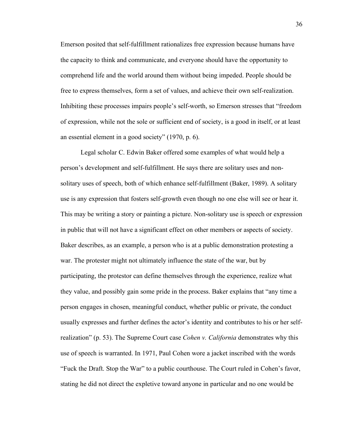Emerson posited that self-fulfillment rationalizes free expression because humans have the capacity to think and communicate, and everyone should have the opportunity to comprehend life and the world around them without being impeded. People should be free to express themselves, form a set of values, and achieve their own self-realization. Inhibiting these processes impairs people's self-worth, so Emerson stresses that "freedom of expression, while not the sole or sufficient end of society, is a good in itself, or at least an essential element in a good society" (1970, p. 6).

Legal scholar C. Edwin Baker offered some examples of what would help a person's development and self-fulfillment. He says there are solitary uses and nonsolitary uses of speech, both of which enhance self-fulfillment (Baker, 1989). A solitary use is any expression that fosters self-growth even though no one else will see or hear it. This may be writing a story or painting a picture. Non-solitary use is speech or expression in public that will not have a significant effect on other members or aspects of society. Baker describes, as an example, a person who is at a public demonstration protesting a war. The protester might not ultimately influence the state of the war, but by participating, the protestor can define themselves through the experience, realize what they value, and possibly gain some pride in the process. Baker explains that "any time a person engages in chosen, meaningful conduct, whether public or private, the conduct usually expresses and further defines the actor's identity and contributes to his or her selfrealization" (p. 53). The Supreme Court case *Cohen v. California* demonstrates why this use of speech is warranted. In 1971, Paul Cohen wore a jacket inscribed with the words "Fuck the Draft. Stop the War" to a public courthouse. The Court ruled in Cohen's favor, stating he did not direct the expletive toward anyone in particular and no one would be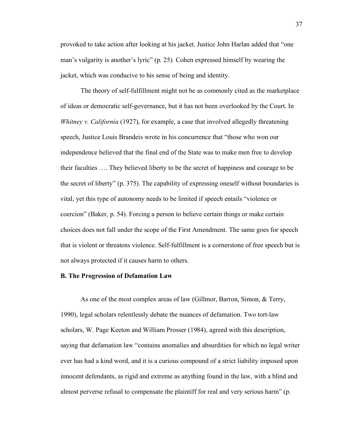provoked to take action after looking at his jacket. Justice John Harlan added that "one man's vulgarity is another's lyric" (p. 25). Cohen expressed himself by wearing the jacket, which was conducive to his sense of being and identity.

The theory of self-fulfillment might not be as commonly cited as the marketplace of ideas or democratic self-governance, but it has not been overlooked by the Court. In *Whitney v. California* (1927), for example, a case that involved allegedly threatening speech, Justice Louis Brandeis wrote in his concurrence that "those who won our independence believed that the final end of the State was to make men free to develop their faculties …. They believed liberty to be the secret of happiness and courage to be the secret of liberty" (p. 375). The capability of expressing oneself without boundaries is vital, yet this type of autonomy needs to be limited if speech entails "violence or coercion" (Baker, p. 54). Forcing a person to believe certain things or make certain choices does not fall under the scope of the First Amendment. The same goes for speech that is violent or threatens violence. Self-fulfillment is a cornerstone of free speech but is not always protected if it causes harm to others.

#### **B. The Progression of Defamation Law**

As one of the most complex areas of law (Gillmor, Barron, Simon, & Terry, 1990), legal scholars relentlessly debate the nuances of defamation. Two tort-law scholars, W. Page Keeton and William Prosser (1984), agreed with this description, saying that defamation law "contains anomalies and absurdities for which no legal writer ever has had a kind word, and it is a curious compound of a strict liability imposed upon innocent defendants, as rigid and extreme as anything found in the law, with a blind and almost perverse refusal to compensate the plaintiff for real and very serious harm" (p.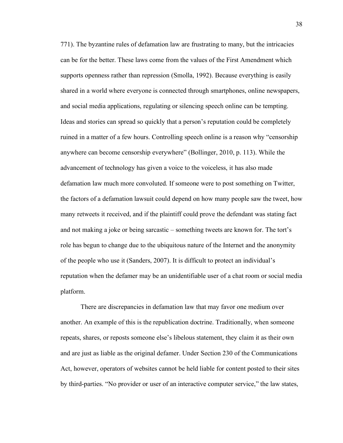771). The byzantine rules of defamation law are frustrating to many, but the intricacies can be for the better. These laws come from the values of the First Amendment which supports openness rather than repression (Smolla, 1992). Because everything is easily shared in a world where everyone is connected through smartphones, online newspapers, and social media applications, regulating or silencing speech online can be tempting. Ideas and stories can spread so quickly that a person's reputation could be completely ruined in a matter of a few hours. Controlling speech online is a reason why "censorship anywhere can become censorship everywhere" (Bollinger, 2010, p. 113). While the advancement of technology has given a voice to the voiceless, it has also made defamation law much more convoluted. If someone were to post something on Twitter, the factors of a defamation lawsuit could depend on how many people saw the tweet, how many retweets it received, and if the plaintiff could prove the defendant was stating fact and not making a joke or being sarcastic – something tweets are known for. The tort's role has begun to change due to the ubiquitous nature of the Internet and the anonymity of the people who use it (Sanders, 2007). It is difficult to protect an individual's reputation when the defamer may be an unidentifiable user of a chat room or social media platform.

There are discrepancies in defamation law that may favor one medium over another. An example of this is the republication doctrine. Traditionally, when someone repeats, shares, or reposts someone else's libelous statement, they claim it as their own and are just as liable as the original defamer. Under Section 230 of the Communications Act, however, operators of websites cannot be held liable for content posted to their sites by third-parties. "No provider or user of an interactive computer service," the law states,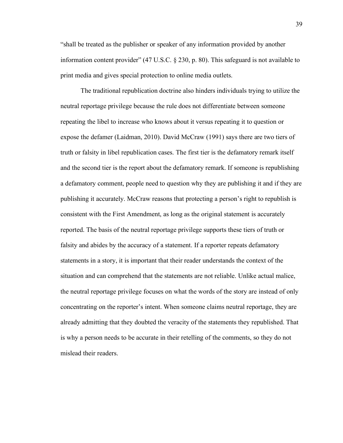"shall be treated as the publisher or speaker of any information provided by another information content provider" (47 U.S.C. § 230, p. 80). This safeguard is not available to print media and gives special protection to online media outlets.

The traditional republication doctrine also hinders individuals trying to utilize the neutral reportage privilege because the rule does not differentiate between someone repeating the libel to increase who knows about it versus repeating it to question or expose the defamer (Laidman, 2010). David McCraw (1991) says there are two tiers of truth or falsity in libel republication cases. The first tier is the defamatory remark itself and the second tier is the report about the defamatory remark. If someone is republishing a defamatory comment, people need to question why they are publishing it and if they are publishing it accurately. McCraw reasons that protecting a person's right to republish is consistent with the First Amendment, as long as the original statement is accurately reported. The basis of the neutral reportage privilege supports these tiers of truth or falsity and abides by the accuracy of a statement. If a reporter repeats defamatory statements in a story, it is important that their reader understands the context of the situation and can comprehend that the statements are not reliable. Unlike actual malice, the neutral reportage privilege focuses on what the words of the story are instead of only concentrating on the reporter's intent. When someone claims neutral reportage, they are already admitting that they doubted the veracity of the statements they republished. That is why a person needs to be accurate in their retelling of the comments, so they do not mislead their readers.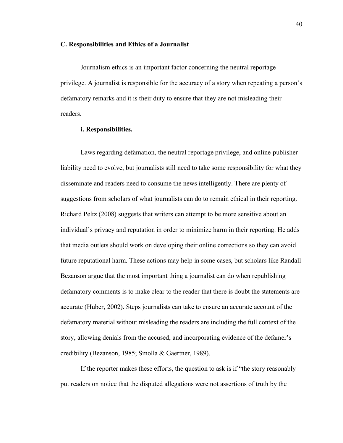#### **C. Responsibilities and Ethics of a Journalist**

Journalism ethics is an important factor concerning the neutral reportage privilege. A journalist is responsible for the accuracy of a story when repeating a person's defamatory remarks and it is their duty to ensure that they are not misleading their readers.

# **i. Responsibilities.**

Laws regarding defamation, the neutral reportage privilege, and online-publisher liability need to evolve, but journalists still need to take some responsibility for what they disseminate and readers need to consume the news intelligently. There are plenty of suggestions from scholars of what journalists can do to remain ethical in their reporting. Richard Peltz (2008) suggests that writers can attempt to be more sensitive about an individual's privacy and reputation in order to minimize harm in their reporting. He adds that media outlets should work on developing their online corrections so they can avoid future reputational harm. These actions may help in some cases, but scholars like Randall Bezanson argue that the most important thing a journalist can do when republishing defamatory comments is to make clear to the reader that there is doubt the statements are accurate (Huber, 2002). Steps journalists can take to ensure an accurate account of the defamatory material without misleading the readers are including the full context of the story, allowing denials from the accused, and incorporating evidence of the defamer's credibility (Bezanson, 1985; Smolla & Gaertner, 1989).

If the reporter makes these efforts, the question to ask is if "the story reasonably put readers on notice that the disputed allegations were not assertions of truth by the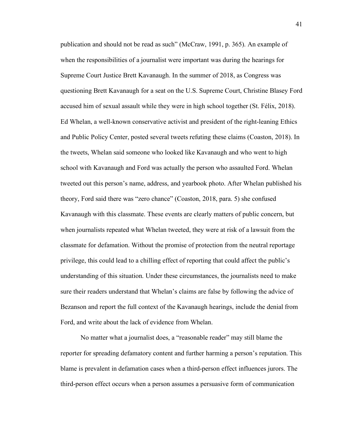publication and should not be read as such" (McCraw, 1991, p. 365). An example of when the responsibilities of a journalist were important was during the hearings for Supreme Court Justice Brett Kavanaugh. In the summer of 2018, as Congress was questioning Brett Kavanaugh for a seat on the U.S. Supreme Court, Christine Blasey Ford accused him of sexual assault while they were in high school together (St. Félix, 2018). Ed Whelan, a well-known conservative activist and president of the right-leaning Ethics and Public Policy Center, posted several tweets refuting these claims (Coaston, 2018). In the tweets, Whelan said someone who looked like Kavanaugh and who went to high school with Kavanaugh and Ford was actually the person who assaulted Ford. Whelan tweeted out this person's name, address, and yearbook photo. After Whelan published his theory, Ford said there was "zero chance" (Coaston, 2018, para. 5) she confused Kavanaugh with this classmate. These events are clearly matters of public concern, but when journalists repeated what Whelan tweeted, they were at risk of a lawsuit from the classmate for defamation. Without the promise of protection from the neutral reportage privilege, this could lead to a chilling effect of reporting that could affect the public's understanding of this situation. Under these circumstances, the journalists need to make sure their readers understand that Whelan's claims are false by following the advice of Bezanson and report the full context of the Kavanaugh hearings, include the denial from Ford, and write about the lack of evidence from Whelan.

No matter what a journalist does, a "reasonable reader" may still blame the reporter for spreading defamatory content and further harming a person's reputation. This blame is prevalent in defamation cases when a third-person effect influences jurors. The third-person effect occurs when a person assumes a persuasive form of communication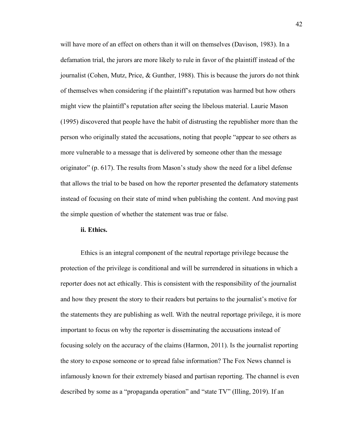will have more of an effect on others than it will on themselves (Davison, 1983). In a defamation trial, the jurors are more likely to rule in favor of the plaintiff instead of the journalist (Cohen, Mutz, Price, & Gunther, 1988). This is because the jurors do not think of themselves when considering if the plaintiff's reputation was harmed but how others might view the plaintiff's reputation after seeing the libelous material. Laurie Mason (1995) discovered that people have the habit of distrusting the republisher more than the person who originally stated the accusations, noting that people "appear to see others as more vulnerable to a message that is delivered by someone other than the message originator" (p. 617). The results from Mason's study show the need for a libel defense that allows the trial to be based on how the reporter presented the defamatory statements instead of focusing on their state of mind when publishing the content. And moving past the simple question of whether the statement was true or false.

### **ii. Ethics.**

Ethics is an integral component of the neutral reportage privilege because the protection of the privilege is conditional and will be surrendered in situations in which a reporter does not act ethically. This is consistent with the responsibility of the journalist and how they present the story to their readers but pertains to the journalist's motive for the statements they are publishing as well. With the neutral reportage privilege, it is more important to focus on why the reporter is disseminating the accusations instead of focusing solely on the accuracy of the claims (Harmon, 2011). Is the journalist reporting the story to expose someone or to spread false information? The Fox News channel is infamously known for their extremely biased and partisan reporting. The channel is even described by some as a "propaganda operation" and "state TV" (Illing, 2019). If an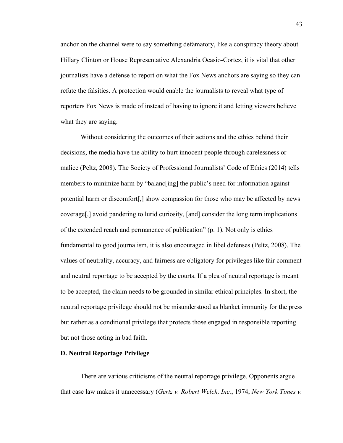anchor on the channel were to say something defamatory, like a conspiracy theory about Hillary Clinton or House Representative Alexandria Ocasio-Cortez, it is vital that other journalists have a defense to report on what the Fox News anchors are saying so they can refute the falsities. A protection would enable the journalists to reveal what type of reporters Fox News is made of instead of having to ignore it and letting viewers believe what they are saying.

Without considering the outcomes of their actions and the ethics behind their decisions, the media have the ability to hurt innocent people through carelessness or malice (Peltz, 2008). The Society of Professional Journalists' Code of Ethics (2014) tells members to minimize harm by "balanc[ing] the public's need for information against potential harm or discomfort[,] show compassion for those who may be affected by news coverage[,] avoid pandering to lurid curiosity, [and] consider the long term implications of the extended reach and permanence of publication" (p. 1). Not only is ethics fundamental to good journalism, it is also encouraged in libel defenses (Peltz, 2008). The values of neutrality, accuracy, and fairness are obligatory for privileges like fair comment and neutral reportage to be accepted by the courts. If a plea of neutral reportage is meant to be accepted, the claim needs to be grounded in similar ethical principles. In short, the neutral reportage privilege should not be misunderstood as blanket immunity for the press but rather as a conditional privilege that protects those engaged in responsible reporting but not those acting in bad faith.

### **D. Neutral Reportage Privilege**

There are various criticisms of the neutral reportage privilege. Opponents argue that case law makes it unnecessary (*Gertz v. Robert Welch, Inc.*, 1974; *New York Times v.*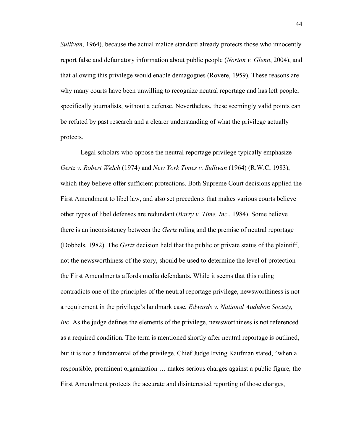*Sullivan*, 1964), because the actual malice standard already protects those who innocently report false and defamatory information about public people (*Norton v. Glenn*, 2004), and that allowing this privilege would enable demagogues (Rovere, 1959). These reasons are why many courts have been unwilling to recognize neutral reportage and has left people, specifically journalists, without a defense. Nevertheless, these seemingly valid points can be refuted by past research and a clearer understanding of what the privilege actually protects.

Legal scholars who oppose the neutral reportage privilege typically emphasize *Gertz v. Robert Welch* (1974) and *New York Times v. Sullivan* (1964) (R.W.C, 1983), which they believe offer sufficient protections. Both Supreme Court decisions applied the First Amendment to libel law, and also set precedents that makes various courts believe other types of libel defenses are redundant (*Barry v. Time, Inc*., 1984). Some believe there is an inconsistency between the *Gertz* ruling and the premise of neutral reportage (Dobbels, 1982). The *Gertz* decision held that the public or private status of the plaintiff, not the newsworthiness of the story, should be used to determine the level of protection the First Amendments affords media defendants. While it seems that this ruling contradicts one of the principles of the neutral reportage privilege, newsworthiness is not a requirement in the privilege's landmark case, *Edwards v. National Audubon Society, Inc.* As the judge defines the elements of the privilege, newsworthiness is not referenced as a required condition. The term is mentioned shortly after neutral reportage is outlined, but it is not a fundamental of the privilege. Chief Judge Irving Kaufman stated, "when a responsible, prominent organization … makes serious charges against a public figure, the First Amendment protects the accurate and disinterested reporting of those charges,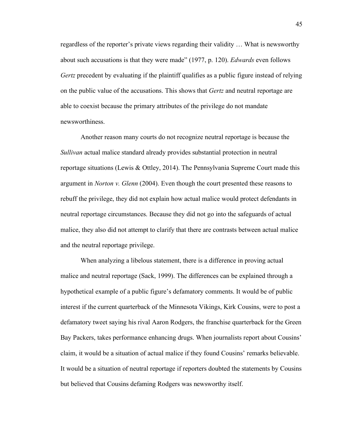regardless of the reporter's private views regarding their validity … What is newsworthy about such accusations is that they were made" (1977, p. 120). *Edwards* even follows *Gertz* precedent by evaluating if the plaintiff qualifies as a public figure instead of relying on the public value of the accusations. This shows that *Gertz* and neutral reportage are able to coexist because the primary attributes of the privilege do not mandate newsworthiness.

Another reason many courts do not recognize neutral reportage is because the *Sullivan* actual malice standard already provides substantial protection in neutral reportage situations (Lewis & Ottley, 2014). The Pennsylvania Supreme Court made this argument in *Norton v. Glenn* (2004). Even though the court presented these reasons to rebuff the privilege, they did not explain how actual malice would protect defendants in neutral reportage circumstances. Because they did not go into the safeguards of actual malice, they also did not attempt to clarify that there are contrasts between actual malice and the neutral reportage privilege.

When analyzing a libelous statement, there is a difference in proving actual malice and neutral reportage (Sack, 1999). The differences can be explained through a hypothetical example of a public figure's defamatory comments. It would be of public interest if the current quarterback of the Minnesota Vikings, Kirk Cousins, were to post a defamatory tweet saying his rival Aaron Rodgers, the franchise quarterback for the Green Bay Packers, takes performance enhancing drugs. When journalists report about Cousins' claim, it would be a situation of actual malice if they found Cousins' remarks believable. It would be a situation of neutral reportage if reporters doubted the statements by Cousins but believed that Cousins defaming Rodgers was newsworthy itself.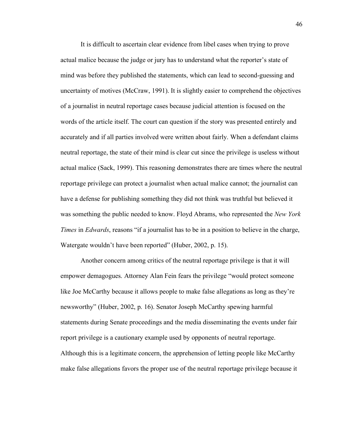It is difficult to ascertain clear evidence from libel cases when trying to prove actual malice because the judge or jury has to understand what the reporter's state of mind was before they published the statements, which can lead to second-guessing and uncertainty of motives (McCraw, 1991). It is slightly easier to comprehend the objectives of a journalist in neutral reportage cases because judicial attention is focused on the words of the article itself. The court can question if the story was presented entirely and accurately and if all parties involved were written about fairly. When a defendant claims neutral reportage, the state of their mind is clear cut since the privilege is useless without actual malice (Sack, 1999). This reasoning demonstrates there are times where the neutral reportage privilege can protect a journalist when actual malice cannot; the journalist can have a defense for publishing something they did not think was truthful but believed it was something the public needed to know. Floyd Abrams, who represented the *New York Times* in *Edwards*, reasons "if a journalist has to be in a position to believe in the charge, Watergate wouldn't have been reported" (Huber, 2002, p. 15).

Another concern among critics of the neutral reportage privilege is that it will empower demagogues. Attorney Alan Fein fears the privilege "would protect someone like Joe McCarthy because it allows people to make false allegations as long as they're newsworthy" (Huber, 2002, p. 16). Senator Joseph McCarthy spewing harmful statements during Senate proceedings and the media disseminating the events under fair report privilege is a cautionary example used by opponents of neutral reportage. Although this is a legitimate concern, the apprehension of letting people like McCarthy make false allegations favors the proper use of the neutral reportage privilege because it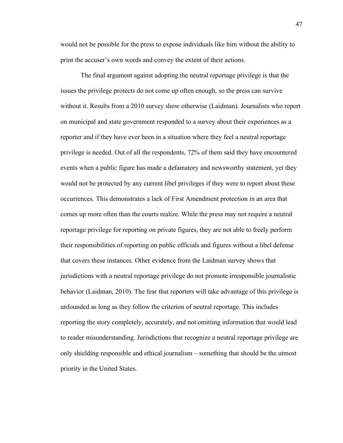would not be possible for the press to expose individuals like him without the ability to print the accuser's own words and convey the extent of their actions.

The final argument against adopting the neutral reportage privilege is that the issues the privilege protects do not come up often enough, so the press can survive without it. Results from a 2010 survey show otherwise (Laidman). Journalists who report on municipal and state government responded to a survey about their experiences as a reporter and if they have ever been in a situation where they feel a neutral reportage privilege is needed. Out of all the respondents, 72% of them said they have encountered events when a public figure has made a defamatory and newsworthy statement, yet they would not be protected by any current libel privileges if they were to report about these occurrences. This demonstrates a lack of First Amendment protection in an area that comes up more often than the courts realize. While the press may not require a neutral reportage privilege for reporting on private figures, they are not able to freely perform their responsibilities of reporting on public officials and figures without a libel defense that covers these instances. Other evidence from the Laidman survey shows that jurisdictions with a neutral reportage privilege do not promote irresponsible journalistic behavior (Laidman, 2010). The fear that reporters will take advantage of this privilege is unfounded as long as they follow the criterion of neutral reportage. This includes reporting the story completely, accurately, and not omitting information that would lead to reader misunderstanding. Jurisdictions that recognize a neutral reportage privilege are only shielding responsible and ethical journalism – something that should be the utmost priority in the United States.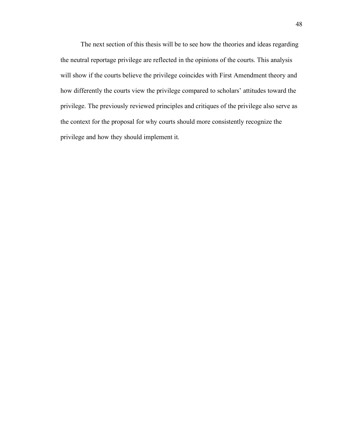The next section of this thesis will be to see how the theories and ideas regarding the neutral reportage privilege are reflected in the opinions of the courts. This analysis will show if the courts believe the privilege coincides with First Amendment theory and how differently the courts view the privilege compared to scholars' attitudes toward the privilege. The previously reviewed principles and critiques of the privilege also serve as the context for the proposal for why courts should more consistently recognize the privilege and how they should implement it.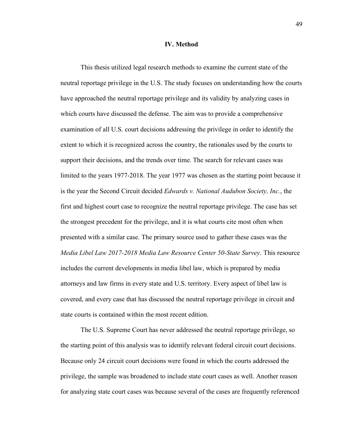### **IV. Method**

This thesis utilized legal research methods to examine the current state of the neutral reportage privilege in the U.S. The study focuses on understanding how the courts have approached the neutral reportage privilege and its validity by analyzing cases in which courts have discussed the defense. The aim was to provide a comprehensive examination of all U.S. court decisions addressing the privilege in order to identify the extent to which it is recognized across the country, the rationales used by the courts to support their decisions, and the trends over time. The search for relevant cases was limited to the years 1977-2018. The year 1977 was chosen as the starting point because it is the year the Second Circuit decided *Edwards v. National Audubon Society, Inc.*, the first and highest court case to recognize the neutral reportage privilege. The case has set the strongest precedent for the privilege, and it is what courts cite most often when presented with a similar case. The primary source used to gather these cases was the *Media Libel Law 2017-2018 Media Law Resource Center 50-State Survey*. This resource includes the current developments in media libel law, which is prepared by media attorneys and law firms in every state and U.S. territory. Every aspect of libel law is covered, and every case that has discussed the neutral reportage privilege in circuit and state courts is contained within the most recent edition.

The U.S. Supreme Court has never addressed the neutral reportage privilege, so the starting point of this analysis was to identify relevant federal circuit court decisions. Because only 24 circuit court decisions were found in which the courts addressed the privilege, the sample was broadened to include state court cases as well. Another reason for analyzing state court cases was because several of the cases are frequently referenced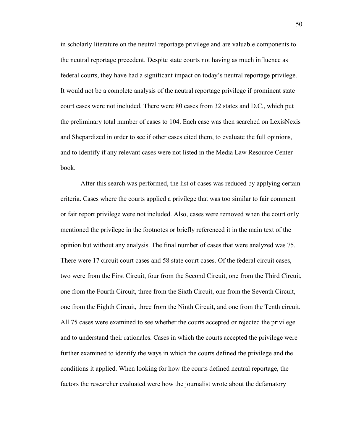in scholarly literature on the neutral reportage privilege and are valuable components to the neutral reportage precedent. Despite state courts not having as much influence as federal courts, they have had a significant impact on today's neutral reportage privilege. It would not be a complete analysis of the neutral reportage privilege if prominent state court cases were not included. There were 80 cases from 32 states and D.C., which put the preliminary total number of cases to 104. Each case was then searched on LexisNexis and Shepardized in order to see if other cases cited them, to evaluate the full opinions, and to identify if any relevant cases were not listed in the Media Law Resource Center book.

After this search was performed, the list of cases was reduced by applying certain criteria. Cases where the courts applied a privilege that was too similar to fair comment or fair report privilege were not included. Also, cases were removed when the court only mentioned the privilege in the footnotes or briefly referenced it in the main text of the opinion but without any analysis. The final number of cases that were analyzed was 75. There were 17 circuit court cases and 58 state court cases. Of the federal circuit cases, two were from the First Circuit, four from the Second Circuit, one from the Third Circuit, one from the Fourth Circuit, three from the Sixth Circuit, one from the Seventh Circuit, one from the Eighth Circuit, three from the Ninth Circuit, and one from the Tenth circuit. All 75 cases were examined to see whether the courts accepted or rejected the privilege and to understand their rationales. Cases in which the courts accepted the privilege were further examined to identify the ways in which the courts defined the privilege and the conditions it applied. When looking for how the courts defined neutral reportage, the factors the researcher evaluated were how the journalist wrote about the defamatory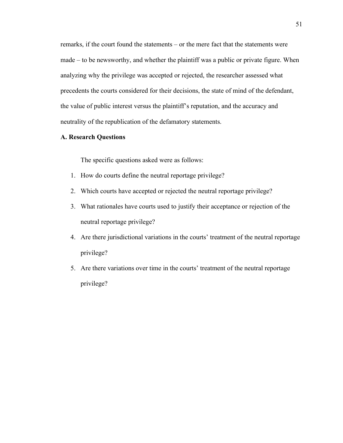remarks, if the court found the statements – or the mere fact that the statements were made – to be newsworthy, and whether the plaintiff was a public or private figure. When analyzing why the privilege was accepted or rejected, the researcher assessed what precedents the courts considered for their decisions, the state of mind of the defendant, the value of public interest versus the plaintiff's reputation, and the accuracy and neutrality of the republication of the defamatory statements.

# **A. Research Questions**

The specific questions asked were as follows:

- 1. How do courts define the neutral reportage privilege?
- 2. Which courts have accepted or rejected the neutral reportage privilege?
- 3. What rationales have courts used to justify their acceptance or rejection of the neutral reportage privilege?
- 4. Are there jurisdictional variations in the courts' treatment of the neutral reportage privilege?
- 5. Are there variations over time in the courts' treatment of the neutral reportage privilege?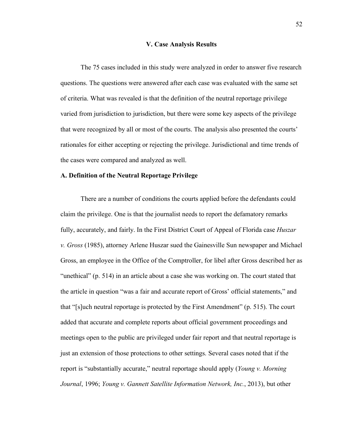#### **V. Case Analysis Results**

The 75 cases included in this study were analyzed in order to answer five research questions. The questions were answered after each case was evaluated with the same set of criteria. What was revealed is that the definition of the neutral reportage privilege varied from jurisdiction to jurisdiction, but there were some key aspects of the privilege that were recognized by all or most of the courts. The analysis also presented the courts' rationales for either accepting or rejecting the privilege. Jurisdictional and time trends of the cases were compared and analyzed as well.

# **A. Definition of the Neutral Reportage Privilege**

There are a number of conditions the courts applied before the defendants could claim the privilege. One is that the journalist needs to report the defamatory remarks fully, accurately, and fairly. In the First District Court of Appeal of Florida case *Huszar v. Gross* (1985), attorney Arlene Huszar sued the Gainesville Sun newspaper and Michael Gross, an employee in the Office of the Comptroller, for libel after Gross described her as "unethical" (p. 514) in an article about a case she was working on. The court stated that the article in question "was a fair and accurate report of Gross' official statements," and that "[s]uch neutral reportage is protected by the First Amendment" (p. 515). The court added that accurate and complete reports about official government proceedings and meetings open to the public are privileged under fair report and that neutral reportage is just an extension of those protections to other settings. Several cases noted that if the report is "substantially accurate," neutral reportage should apply (*Young v. Morning Journal*, 1996; *Young v. Gannett Satellite Information Network, Inc.*, 2013), but other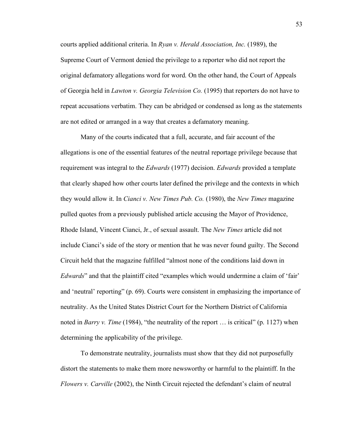courts applied additional criteria. In *Ryan v. Herald Association, Inc.* (1989), the Supreme Court of Vermont denied the privilege to a reporter who did not report the original defamatory allegations word for word. On the other hand, the Court of Appeals of Georgia held in *Lawton v. Georgia Television Co.* (1995) that reporters do not have to repeat accusations verbatim. They can be abridged or condensed as long as the statements are not edited or arranged in a way that creates a defamatory meaning.

Many of the courts indicated that a full, accurate, and fair account of the allegations is one of the essential features of the neutral reportage privilege because that requirement was integral to the *Edwards* (1977) decision. *Edwards* provided a template that clearly shaped how other courts later defined the privilege and the contexts in which they would allow it. In *Cianci v. New Times Pub. Co.* (1980), the *New Times* magazine pulled quotes from a previously published article accusing the Mayor of Providence, Rhode Island, Vincent Cianci, Jr., of sexual assault. The *New Times* article did not include Cianci's side of the story or mention that he was never found guilty. The Second Circuit held that the magazine fulfilled "almost none of the conditions laid down in *Edwards*" and that the plaintiff cited "examples which would undermine a claim of 'fair' and 'neutral' reporting" (p. 69). Courts were consistent in emphasizing the importance of neutrality. As the United States District Court for the Northern District of California noted in *Barry v. Time* (1984), "the neutrality of the report ... is critical" (p. 1127) when determining the applicability of the privilege.

To demonstrate neutrality, journalists must show that they did not purposefully distort the statements to make them more newsworthy or harmful to the plaintiff. In the *Flowers v. Carville* (2002), the Ninth Circuit rejected the defendant's claim of neutral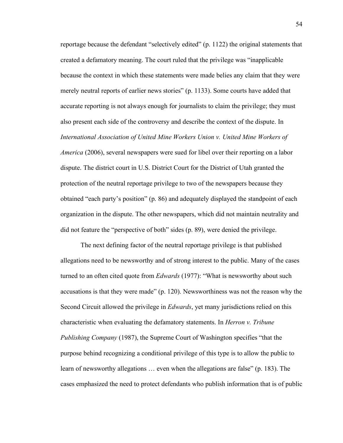reportage because the defendant "selectively edited" (p. 1122) the original statements that created a defamatory meaning. The court ruled that the privilege was "inapplicable because the context in which these statements were made belies any claim that they were merely neutral reports of earlier news stories" (p. 1133). Some courts have added that accurate reporting is not always enough for journalists to claim the privilege; they must also present each side of the controversy and describe the context of the dispute. In *International Association of United Mine Workers Union v. United Mine Workers of America* (2006), several newspapers were sued for libel over their reporting on a labor dispute. The district court in U.S. District Court for the District of Utah granted the protection of the neutral reportage privilege to two of the newspapers because they obtained "each party's position" (p. 86) and adequately displayed the standpoint of each organization in the dispute. The other newspapers, which did not maintain neutrality and did not feature the "perspective of both" sides (p. 89), were denied the privilege.

The next defining factor of the neutral reportage privilege is that published allegations need to be newsworthy and of strong interest to the public. Many of the cases turned to an often cited quote from *Edwards* (1977): "What is newsworthy about such accusations is that they were made" (p. 120). Newsworthiness was not the reason why the Second Circuit allowed the privilege in *Edwards*, yet many jurisdictions relied on this characteristic when evaluating the defamatory statements. In *Herron v. Tribune Publishing Company* (1987), the Supreme Court of Washington specifies "that the purpose behind recognizing a conditional privilege of this type is to allow the public to learn of newsworthy allegations … even when the allegations are false" (p. 183). The cases emphasized the need to protect defendants who publish information that is of public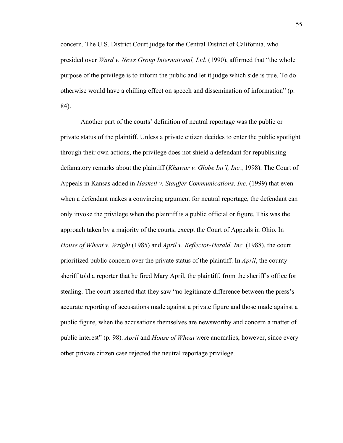concern. The U.S. District Court judge for the Central District of California, who presided over *Ward v. News Group International, Ltd.* (1990), affirmed that "the whole purpose of the privilege is to inform the public and let it judge which side is true. To do otherwise would have a chilling effect on speech and dissemination of information" (p. 84).

Another part of the courts' definition of neutral reportage was the public or private status of the plaintiff. Unless a private citizen decides to enter the public spotlight through their own actions, the privilege does not shield a defendant for republishing defamatory remarks about the plaintiff (*Khawar v. Globe Int'l, Inc.*, 1998). The Court of Appeals in Kansas added in *Haskell v. Stauffer Communications, Inc.* (1999) that even when a defendant makes a convincing argument for neutral reportage, the defendant can only invoke the privilege when the plaintiff is a public official or figure. This was the approach taken by a majority of the courts, except the Court of Appeals in Ohio. In *House of Wheat v. Wright* (1985) and *April v. Reflector-Herald, Inc.* (1988), the court prioritized public concern over the private status of the plaintiff. In *April*, the county sheriff told a reporter that he fired Mary April, the plaintiff, from the sheriff's office for stealing. The court asserted that they saw "no legitimate difference between the press's accurate reporting of accusations made against a private figure and those made against a public figure, when the accusations themselves are newsworthy and concern a matter of public interest" (p. 98). *April* and *House of Wheat* were anomalies, however, since every other private citizen case rejected the neutral reportage privilege.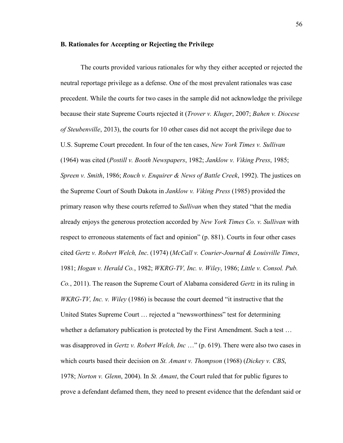## **B. Rationales for Accepting or Rejecting the Privilege**

The courts provided various rationales for why they either accepted or rejected the neutral reportage privilege as a defense. One of the most prevalent rationales was case precedent. While the courts for two cases in the sample did not acknowledge the privilege because their state Supreme Courts rejected it (*Trover v. Kluger*, 2007; *Bahen v. Diocese of Steubenville*, 2013), the courts for 10 other cases did not accept the privilege due to U.S. Supreme Court precedent. In four of the ten cases, *New York Times v. Sullivan* (1964) was cited (*Postill v. Booth Newspapers*, 1982; *Janklow v. Viking Press*, 1985; *Spreen v. Smith*, 1986; *Rouch v. Enquirer & News of Battle Creek*, 1992). The justices on the Supreme Court of South Dakota in *Janklow v. Viking Press* (1985) provided the primary reason why these courts referred to *Sullivan* when they stated "that the media already enjoys the generous protection accorded by *New York Times Co. v. Sullivan* with respect to erroneous statements of fact and opinion" (p. 881). Courts in four other cases cited *Gertz v. Robert Welch, Inc*. (1974) (*McCall v. Courier-Journal & Louisville Times*, 1981; *Hogan v. Herald Co.*, 1982; *WKRG-TV, Inc. v. Wiley*, 1986; *Little v. Consol. Pub. Co.*, 2011). The reason the Supreme Court of Alabama considered *Gertz* in its ruling in *WKRG-TV, Inc. v. Wiley* (1986) is because the court deemed "it instructive that the United States Supreme Court … rejected a "newsworthiness" test for determining whether a defamatory publication is protected by the First Amendment. Such a test ... was disapproved in *Gertz v. Robert Welch, Inc* …" (p. 619). There were also two cases in which courts based their decision on *St. Amant v. Thompson* (1968) (*Dickey v. CBS*, 1978; *Norton v. Glenn*, 2004). In *St. Amant*, the Court ruled that for public figures to prove a defendant defamed them, they need to present evidence that the defendant said or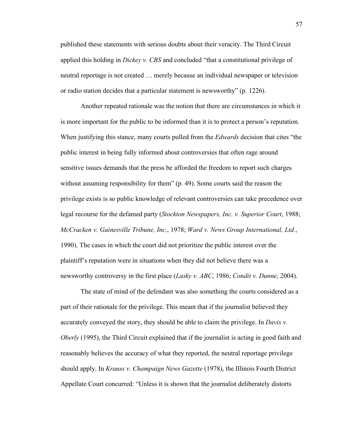published these statements with serious doubts about their veracity. The Third Circuit applied this holding in *Dickey v. CBS* and concluded "that a constitutional privilege of neutral reportage is not created … merely because an individual newspaper or television or radio station decides that a particular statement is newsworthy" (p. 1226).

Another repeated rationale was the notion that there are circumstances in which it is more important for the public to be informed than it is to protect a person's reputation. When justifying this stance, many courts pulled from the *Edwards* decision that cites "the public interest in being fully informed about controversies that often rage around sensitive issues demands that the press be afforded the freedom to report such charges without assuming responsibility for them" (p. 49). Some courts said the reason the privilege exists is so public knowledge of relevant controversies can take precedence over legal recourse for the defamed party (*Stockton Newspapers, Inc. v. Superior Court*, 1988; *McCracken v. Gainesville Tribune, Inc.*, 1978; *Ward v. News Group International, Ltd.*, 1990). The cases in which the court did not prioritize the public interest over the plaintiff's reputation were in situations when they did not believe there was a newsworthy controversy in the first place (*Lasky v. ABC*, 1986; *Condit v. Dunne*, 2004).

The state of mind of the defendant was also something the courts considered as a part of their rationale for the privilege. This meant that if the journalist believed they accurately conveyed the story, they should be able to claim the privilege. In *Davis v. Oberly* (1995), the Third Circuit explained that if the journalist is acting in good faith and reasonably believes the accuracy of what they reported, the neutral reportage privilege should apply. In *Krauss v. Champaign News Gazette* (1978), the Illinois Fourth District Appellate Court concurred: "Unless it is shown that the journalist deliberately distorts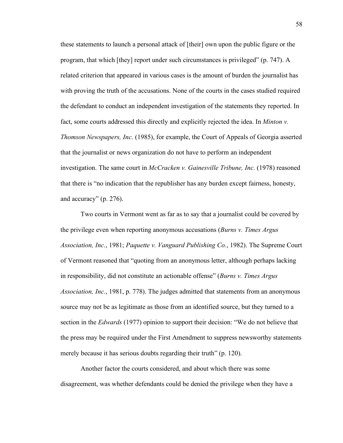these statements to launch a personal attack of [their] own upon the public figure or the program, that which [they] report under such circumstances is privileged" (p. 747). A related criterion that appeared in various cases is the amount of burden the journalist has with proving the truth of the accusations. None of the courts in the cases studied required the defendant to conduct an independent investigation of the statements they reported. In fact, some courts addressed this directly and explicitly rejected the idea. In *Minton v. Thomson Newspapers, Inc.* (1985), for example, the Court of Appeals of Georgia asserted that the journalist or news organization do not have to perform an independent investigation. The same court in *McCracken v. Gainesville Tribune, Inc.* (1978) reasoned that there is "no indication that the republisher has any burden except fairness, honesty, and accuracy" (p. 276).

Two courts in Vermont went as far as to say that a journalist could be covered by the privilege even when reporting anonymous accusations (*Burns v. Times Argus Association, Inc.*, 1981; *Paquette v. Vanguard Publishing Co.*, 1982). The Supreme Court of Vermont reasoned that "quoting from an anonymous letter, although perhaps lacking in responsibility, did not constitute an actionable offense" (*Burns v. Times Argus Association, Inc.*, 1981, p. 778). The judges admitted that statements from an anonymous source may not be as legitimate as those from an identified source, but they turned to a section in the *Edwards* (1977) opinion to support their decision: "We do not believe that the press may be required under the First Amendment to suppress newsworthy statements merely because it has serious doubts regarding their truth" (p. 120).

Another factor the courts considered, and about which there was some disagreement, was whether defendants could be denied the privilege when they have a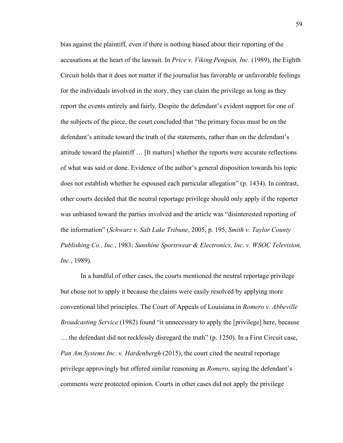bias against the plaintiff, even if there is nothing biased about their reporting of the accusations at the heart of the lawsuit. In *Price v. Viking Penguin, Inc.* (1989), the Eighth Circuit holds that it does not matter if the journalist has favorable or unfavorable feelings for the individuals involved in the story, they can claim the privilege as long as they report the events entirely and fairly. Despite the defendant's evident support for one of the subjects of the piece, the court concluded that "the primary focus must be on the defendant's attitude toward the truth of the statements, rather than on the defendant's attitude toward the plaintiff … [It matters] whether the reports were accurate reflections of what was said or done. Evidence of the author's general disposition towards his topic does not establish whether he espoused each particular allegation" (p. 1434). In contrast, other courts decided that the neutral reportage privilege should only apply if the reporter was unbiased toward the parties involved and the article was "disinterested reporting of the information" (*Schwarz v. Salt Lake Tribune*, 2005, p. 195; *Smith v. Taylor County Publishing Co., Inc.*, 1983; *Sunshine Sportswear & Electronics, Inc. v. WSOC Television, Inc.*, 1989).

In a handful of other cases, the courts mentioned the neutral reportage privilege but chose not to apply it because the claims were easily resolved by applying more conventional libel principles. The Court of Appeals of Louisiana in *Romero v. Abbeville Broadcasting Service* (1982) found "it unnecessary to apply the [privilege] here, because … the defendant did not recklessly disregard the truth" (p. 1250). In a First Circuit case, *Pan Am Systems Inc. v. Hardenbergh* (2015), the court cited the neutral reportage privilege approvingly but offered similar reasoning as *Romero*, saying the defendant's comments were protected opinion. Courts in other cases did not apply the privilege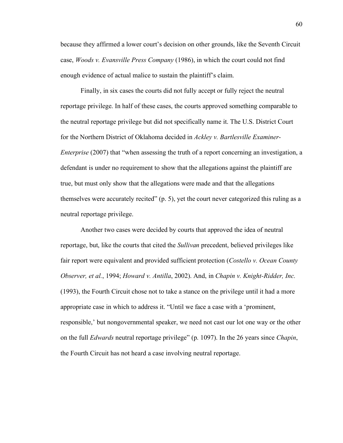because they affirmed a lower court's decision on other grounds, like the Seventh Circuit case, *Woods v. Evansville Press Company* (1986), in which the court could not find enough evidence of actual malice to sustain the plaintiff's claim.

Finally, in six cases the courts did not fully accept or fully reject the neutral reportage privilege. In half of these cases, the courts approved something comparable to the neutral reportage privilege but did not specifically name it. The U.S. District Court for the Northern District of Oklahoma decided in *Ackley v. Bartlesville Examiner-Enterprise* (2007) that "when assessing the truth of a report concerning an investigation, a defendant is under no requirement to show that the allegations against the plaintiff are true, but must only show that the allegations were made and that the allegations themselves were accurately recited" (p. 5), yet the court never categorized this ruling as a neutral reportage privilege.

Another two cases were decided by courts that approved the idea of neutral reportage, but, like the courts that cited the *Sullivan* precedent, believed privileges like fair report were equivalent and provided sufficient protection (*Costello v. Ocean County Observer, et al.*, 1994; *Howard v. Antilla*, 2002). And, in *Chapin v. Knight-Ridder, Inc.* (1993), the Fourth Circuit chose not to take a stance on the privilege until it had a more appropriate case in which to address it. "Until we face a case with a 'prominent, responsible,' but nongovernmental speaker, we need not cast our lot one way or the other on the full *Edwards* neutral reportage privilege" (p. 1097). In the 26 years since *Chapin*, the Fourth Circuit has not heard a case involving neutral reportage.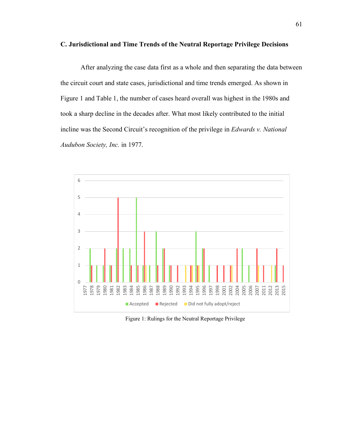# **C. Jurisdictional and Time Trends of the Neutral Reportage Privilege Decisions**

After analyzing the case data first as a whole and then separating the data between the circuit court and state cases, jurisdictional and time trends emerged. As shown in Figure 1 and Table 1, the number of cases heard overall was highest in the 1980s and took a sharp decline in the decades after. What most likely contributed to the initial incline was the Second Circuit's recognition of the privilege in *Edwards v. National Audubon Society, Inc.* in 1977.



Figure 1: Rulings for the Neutral Reportage Privilege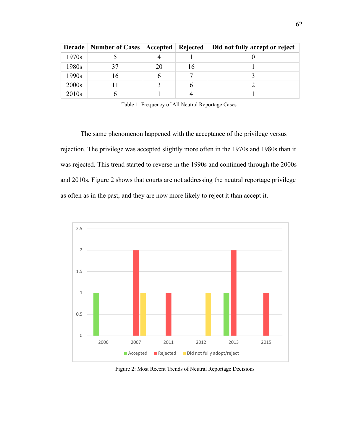| <b>Decade</b>     | Number of Cases   Accepted |    | Rejected | Did not fully accept or reject |
|-------------------|----------------------------|----|----------|--------------------------------|
| 1970s             |                            |    |          |                                |
| 1980s             |                            | 20 | 16       |                                |
| 1990s             | 16                         |    |          |                                |
| 2000s             |                            |    |          |                                |
| 2010 <sub>s</sub> |                            |    |          |                                |

Table 1: Frequency of All Neutral Reportage Cases

The same phenomenon happened with the acceptance of the privilege versus rejection. The privilege was accepted slightly more often in the 1970s and 1980s than it was rejected. This trend started to reverse in the 1990s and continued through the 2000s and 2010s. Figure 2 shows that courts are not addressing the neutral reportage privilege as often as in the past, and they are now more likely to reject it than accept it.



Figure 2: Most Recent Trends of Neutral Reportage Decisions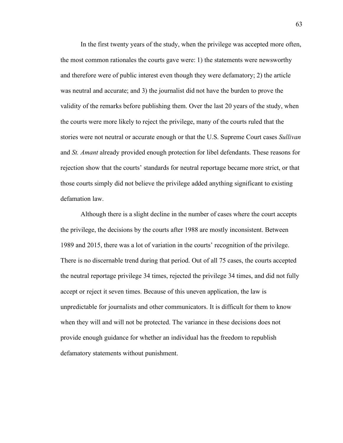In the first twenty years of the study, when the privilege was accepted more often, the most common rationales the courts gave were: 1) the statements were newsworthy and therefore were of public interest even though they were defamatory; 2) the article was neutral and accurate; and 3) the journalist did not have the burden to prove the validity of the remarks before publishing them. Over the last 20 years of the study, when the courts were more likely to reject the privilege, many of the courts ruled that the stories were not neutral or accurate enough or that the U.S. Supreme Court cases *Sullivan* and *St. Amant* already provided enough protection for libel defendants. These reasons for rejection show that the courts' standards for neutral reportage became more strict, or that those courts simply did not believe the privilege added anything significant to existing defamation law.

Although there is a slight decline in the number of cases where the court accepts the privilege, the decisions by the courts after 1988 are mostly inconsistent. Between 1989 and 2015, there was a lot of variation in the courts' recognition of the privilege. There is no discernable trend during that period. Out of all 75 cases, the courts accepted the neutral reportage privilege 34 times, rejected the privilege 34 times, and did not fully accept or reject it seven times. Because of this uneven application, the law is unpredictable for journalists and other communicators. It is difficult for them to know when they will and will not be protected. The variance in these decisions does not provide enough guidance for whether an individual has the freedom to republish defamatory statements without punishment.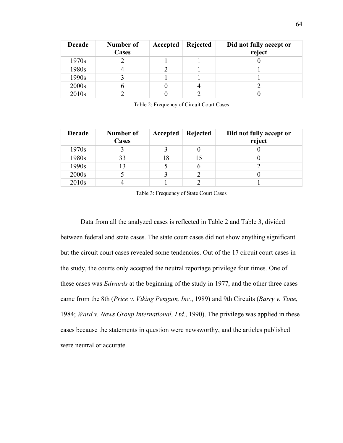| <b>Decade</b>     | Number of<br>Cases | Accepted | Rejected | Did not fully accept or<br>reject |
|-------------------|--------------------|----------|----------|-----------------------------------|
| 1970s             |                    |          |          |                                   |
| 1980s             |                    |          |          |                                   |
| 1990s             |                    |          |          |                                   |
| 2000s             |                    |          |          |                                   |
| 2010 <sub>s</sub> |                    |          |          |                                   |

Table 2: Frequency of Circuit Court Cases

| <b>Decade</b>     | Number of<br>Cases | Accepted | Rejected | Did not fully accept or<br>reject |
|-------------------|--------------------|----------|----------|-----------------------------------|
| 1970s             |                    |          |          |                                   |
| 1980s             | 33                 | 18       |          |                                   |
| 1990s             |                    |          | O        |                                   |
| 2000s             |                    |          |          |                                   |
| 2010 <sub>s</sub> |                    |          |          |                                   |

Table 3: Frequency of State Court Cases

Data from all the analyzed cases is reflected in Table 2 and Table 3, divided between federal and state cases. The state court cases did not show anything significant but the circuit court cases revealed some tendencies. Out of the 17 circuit court cases in the study, the courts only accepted the neutral reportage privilege four times. One of these cases was *Edwards* at the beginning of the study in 1977, and the other three cases came from the 8th (*Price v. Viking Penguin, Inc.*, 1989) and 9th Circuits (*Barry v. Time*, 1984; *Ward v. News Group International, Ltd.*, 1990). The privilege was applied in these cases because the statements in question were newsworthy, and the articles published were neutral or accurate.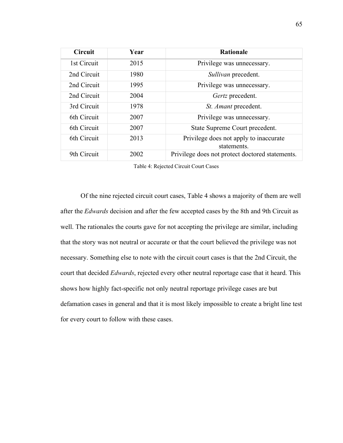| <b>Circuit</b> | Year | <b>Rationale</b>                                      |
|----------------|------|-------------------------------------------------------|
| 1st Circuit    | 2015 | Privilege was unnecessary.                            |
| 2nd Circuit    | 1980 | Sullivan precedent.                                   |
| 2nd Circuit    | 1995 | Privilege was unnecessary.                            |
| 2nd Circuit    | 2004 | Gertz precedent.                                      |
| 3rd Circuit    | 1978 | St. Amant precedent.                                  |
| 6th Circuit    | 2007 | Privilege was unnecessary.                            |
| 6th Circuit    | 2007 | State Supreme Court precedent.                        |
| 6th Circuit    | 2013 | Privilege does not apply to inaccurate<br>statements. |
| 9th Circuit    | 2002 | Privilege does not protect doctored statements.       |

Table 4: Rejected Circuit Court Cases

Of the nine rejected circuit court cases, Table 4 shows a majority of them are well after the *Edwards* decision and after the few accepted cases by the 8th and 9th Circuit as well. The rationales the courts gave for not accepting the privilege are similar, including that the story was not neutral or accurate or that the court believed the privilege was not necessary. Something else to note with the circuit court cases is that the 2nd Circuit, the court that decided *Edwards*, rejected every other neutral reportage case that it heard. This shows how highly fact-specific not only neutral reportage privilege cases are but defamation cases in general and that it is most likely impossible to create a bright line test for every court to follow with these cases.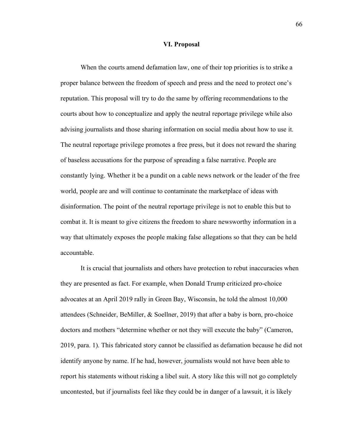#### **VI. Proposal**

When the courts amend defamation law, one of their top priorities is to strike a proper balance between the freedom of speech and press and the need to protect one's reputation. This proposal will try to do the same by offering recommendations to the courts about how to conceptualize and apply the neutral reportage privilege while also advising journalists and those sharing information on social media about how to use it. The neutral reportage privilege promotes a free press, but it does not reward the sharing of baseless accusations for the purpose of spreading a false narrative. People are constantly lying. Whether it be a pundit on a cable news network or the leader of the free world, people are and will continue to contaminate the marketplace of ideas with disinformation. The point of the neutral reportage privilege is not to enable this but to combat it. It is meant to give citizens the freedom to share newsworthy information in a way that ultimately exposes the people making false allegations so that they can be held accountable.

It is crucial that journalists and others have protection to rebut inaccuracies when they are presented as fact. For example, when Donald Trump criticized pro-choice advocates at an April 2019 rally in Green Bay, Wisconsin, he told the almost 10,000 attendees (Schneider, BeMiller, & Soellner, 2019) that after a baby is born, pro-choice doctors and mothers "determine whether or not they will execute the baby" (Cameron, 2019, para. 1). This fabricated story cannot be classified as defamation because he did not identify anyone by name. If he had, however, journalists would not have been able to report his statements without risking a libel suit. A story like this will not go completely uncontested, but if journalists feel like they could be in danger of a lawsuit, it is likely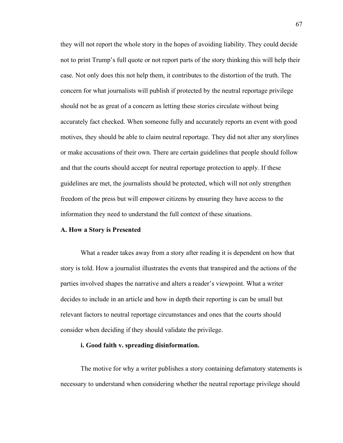they will not report the whole story in the hopes of avoiding liability. They could decide not to print Trump's full quote or not report parts of the story thinking this will help their case. Not only does this not help them, it contributes to the distortion of the truth. The concern for what journalists will publish if protected by the neutral reportage privilege should not be as great of a concern as letting these stories circulate without being accurately fact checked. When someone fully and accurately reports an event with good motives, they should be able to claim neutral reportage. They did not alter any storylines or make accusations of their own. There are certain guidelines that people should follow and that the courts should accept for neutral reportage protection to apply. If these guidelines are met, the journalists should be protected, which will not only strengthen freedom of the press but will empower citizens by ensuring they have access to the information they need to understand the full context of these situations.

# **A. How a Story is Presented**

What a reader takes away from a story after reading it is dependent on how that story is told. How a journalist illustrates the events that transpired and the actions of the parties involved shapes the narrative and alters a reader's viewpoint. What a writer decides to include in an article and how in depth their reporting is can be small but relevant factors to neutral reportage circumstances and ones that the courts should consider when deciding if they should validate the privilege.

### **i. Good faith v. spreading disinformation.**

The motive for why a writer publishes a story containing defamatory statements is necessary to understand when considering whether the neutral reportage privilege should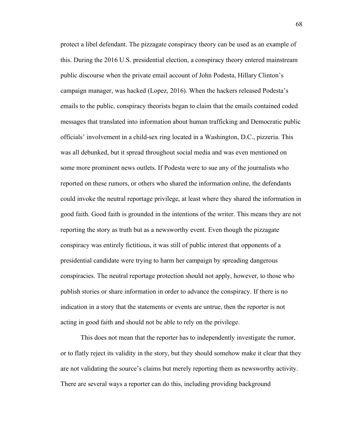protect a libel defendant. The pizzagate conspiracy theory can be used as an example of this. During the 2016 U.S. presidential election, a conspiracy theory entered mainstream public discourse when the private email account of John Podesta, Hillary Clinton's campaign manager, was hacked (Lopez, 2016). When the hackers released Podesta's emails to the public, conspiracy theorists began to claim that the emails contained coded messages that translated into information about human trafficking and Democratic public officials' involvement in a child-sex ring located in a Washington, D.C., pizzeria. This was all debunked, but it spread throughout social media and was even mentioned on some more prominent news outlets. If Podesta were to sue any of the journalists who reported on these rumors, or others who shared the information online, the defendants could invoke the neutral reportage privilege, at least where they shared the information in good faith. Good faith is grounded in the intentions of the writer. This means they are not reporting the story as truth but as a newsworthy event. Even though the pizzagate conspiracy was entirely fictitious, it was still of public interest that opponents of a presidential candidate were trying to harm her campaign by spreading dangerous conspiracies. The neutral reportage protection should not apply, however, to those who publish stories or share information in order to advance the conspiracy. If there is no indication in a story that the statements or events are untrue, then the reporter is not acting in good faith and should not be able to rely on the privilege.

This does not mean that the reporter has to independently investigate the rumor, or to flatly reject its validity in the story, but they should somehow make it clear that they are not validating the source's claims but merely reporting them as newsworthy activity. There are several ways a reporter can do this, including providing background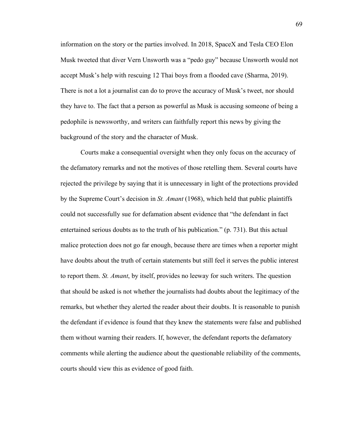information on the story or the parties involved. In 2018, SpaceX and Tesla CEO Elon Musk tweeted that diver Vern Unsworth was a "pedo guy" because Unsworth would not accept Musk's help with rescuing 12 Thai boys from a flooded cave (Sharma, 2019). There is not a lot a journalist can do to prove the accuracy of Musk's tweet, nor should they have to. The fact that a person as powerful as Musk is accusing someone of being a pedophile is newsworthy, and writers can faithfully report this news by giving the background of the story and the character of Musk.

Courts make a consequential oversight when they only focus on the accuracy of the defamatory remarks and not the motives of those retelling them. Several courts have rejected the privilege by saying that it is unnecessary in light of the protections provided by the Supreme Court's decision in *St. Amant* (1968), which held that public plaintiffs could not successfully sue for defamation absent evidence that "the defendant in fact entertained serious doubts as to the truth of his publication." (p. 731). But this actual malice protection does not go far enough, because there are times when a reporter might have doubts about the truth of certain statements but still feel it serves the public interest to report them. *St. Amant*, by itself, provides no leeway for such writers. The question that should be asked is not whether the journalists had doubts about the legitimacy of the remarks, but whether they alerted the reader about their doubts. It is reasonable to punish the defendant if evidence is found that they knew the statements were false and published them without warning their readers. If, however, the defendant reports the defamatory comments while alerting the audience about the questionable reliability of the comments, courts should view this as evidence of good faith.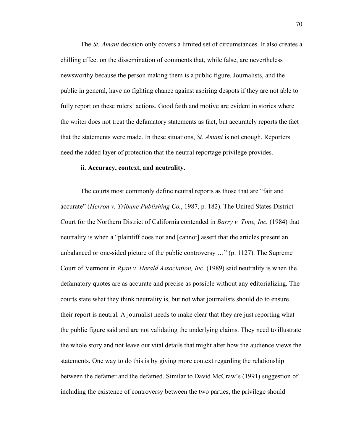The *St. Amant* decision only covers a limited set of circumstances. It also creates a chilling effect on the dissemination of comments that, while false, are nevertheless newsworthy because the person making them is a public figure. Journalists, and the public in general, have no fighting chance against aspiring despots if they are not able to fully report on these rulers' actions. Good faith and motive are evident in stories where the writer does not treat the defamatory statements as fact, but accurately reports the fact that the statements were made. In these situations, *St. Amant* is not enough. Reporters need the added layer of protection that the neutral reportage privilege provides.

# **ii. Accuracy, context, and neutrality.**

The courts most commonly define neutral reports as those that are "fair and accurate" (*Herron v. Tribune Publishing Co.*, 1987, p. 182). The United States District Court for the Northern District of California contended in *Barry v. Time, Inc.* (1984) that neutrality is when a "plaintiff does not and [cannot] assert that the articles present an unbalanced or one-sided picture of the public controversy …" (p. 1127). The Supreme Court of Vermont in *Ryan v. Herald Association, Inc.* (1989) said neutrality is when the defamatory quotes are as accurate and precise as possible without any editorializing. The courts state what they think neutrality is, but not what journalists should do to ensure their report is neutral. A journalist needs to make clear that they are just reporting what the public figure said and are not validating the underlying claims. They need to illustrate the whole story and not leave out vital details that might alter how the audience views the statements. One way to do this is by giving more context regarding the relationship between the defamer and the defamed. Similar to David McCraw's (1991) suggestion of including the existence of controversy between the two parties, the privilege should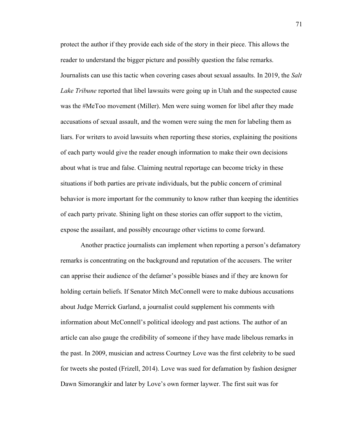protect the author if they provide each side of the story in their piece. This allows the reader to understand the bigger picture and possibly question the false remarks. Journalists can use this tactic when covering cases about sexual assaults. In 2019, the *Salt Lake Tribune* reported that libel lawsuits were going up in Utah and the suspected cause was the #MeToo movement (Miller). Men were suing women for libel after they made accusations of sexual assault, and the women were suing the men for labeling them as liars. For writers to avoid lawsuits when reporting these stories, explaining the positions of each party would give the reader enough information to make their own decisions about what is true and false. Claiming neutral reportage can become tricky in these situations if both parties are private individuals, but the public concern of criminal behavior is more important for the community to know rather than keeping the identities of each party private. Shining light on these stories can offer support to the victim, expose the assailant, and possibly encourage other victims to come forward.

Another practice journalists can implement when reporting a person's defamatory remarks is concentrating on the background and reputation of the accusers. The writer can apprise their audience of the defamer's possible biases and if they are known for holding certain beliefs. If Senator Mitch McConnell were to make dubious accusations about Judge Merrick Garland, a journalist could supplement his comments with information about McConnell's political ideology and past actions. The author of an article can also gauge the credibility of someone if they have made libelous remarks in the past. In 2009, musician and actress Courtney Love was the first celebrity to be sued for tweets she posted (Frizell, 2014). Love was sued for defamation by fashion designer Dawn Simorangkir and later by Love's own former laywer. The first suit was for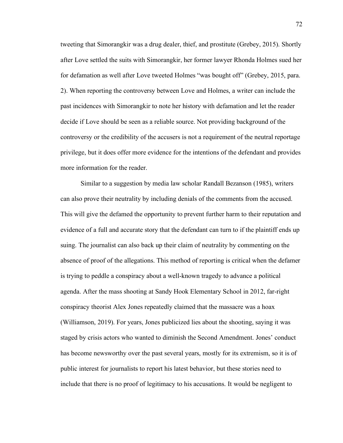tweeting that Simorangkir was a drug dealer, thief, and prostitute (Grebey, 2015). Shortly after Love settled the suits with Simorangkir, her former lawyer Rhonda Holmes sued her for defamation as well after Love tweeted Holmes "was bought off" (Grebey, 2015, para. 2). When reporting the controversy between Love and Holmes, a writer can include the past incidences with Simorangkir to note her history with defamation and let the reader decide if Love should be seen as a reliable source. Not providing background of the controversy or the credibility of the accusers is not a requirement of the neutral reportage privilege, but it does offer more evidence for the intentions of the defendant and provides more information for the reader.

Similar to a suggestion by media law scholar Randall Bezanson (1985), writers can also prove their neutrality by including denials of the comments from the accused. This will give the defamed the opportunity to prevent further harm to their reputation and evidence of a full and accurate story that the defendant can turn to if the plaintiff ends up suing. The journalist can also back up their claim of neutrality by commenting on the absence of proof of the allegations. This method of reporting is critical when the defamer is trying to peddle a conspiracy about a well-known tragedy to advance a political agenda. After the mass shooting at Sandy Hook Elementary School in 2012, far-right conspiracy theorist Alex Jones repeatedly claimed that the massacre was a hoax (Williamson, 2019). For years, Jones publicized lies about the shooting, saying it was staged by crisis actors who wanted to diminish the Second Amendment. Jones' conduct has become newsworthy over the past several years, mostly for its extremism, so it is of public interest for journalists to report his latest behavior, but these stories need to include that there is no proof of legitimacy to his accusations. It would be negligent to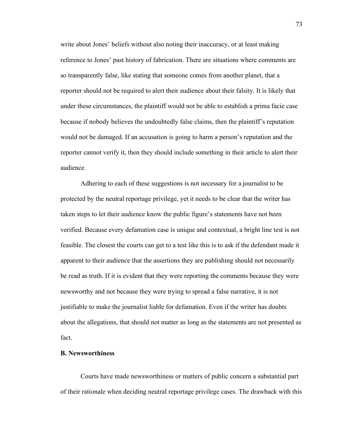write about Jones' beliefs without also noting their inaccuracy, or at least making reference to Jones' past history of fabrication. There are situations where comments are so transparently false, like stating that someone comes from another planet, that a reporter should not be required to alert their audience about their falsity. It is likely that under these circumstances, the plaintiff would not be able to establish a prima facie case because if nobody believes the undoubtedly false claims, then the plaintiff's reputation would not be damaged. If an accusation is going to harm a person's reputation and the reporter cannot verify it, then they should include something in their article to alert their audience.

Adhering to each of these suggestions is not necessary for a journalist to be protected by the neutral reportage privilege, yet it needs to be clear that the writer has taken steps to let their audience know the public figure's statements have not been verified. Because every defamation case is unique and contextual, a bright line test is not feasible. The closest the courts can get to a test like this is to ask if the defendant made it apparent to their audience that the assertions they are publishing should not necessarily be read as truth. If it is evident that they were reporting the comments because they were newsworthy and not because they were trying to spread a false narrative, it is not justifiable to make the journalist liable for defamation. Even if the writer has doubts about the allegations, that should not matter as long as the statements are not presented as fact.

# **B. Newsworthiness**

Courts have made newsworthiness or matters of public concern a substantial part of their rationale when deciding neutral reportage privilege cases. The drawback with this

73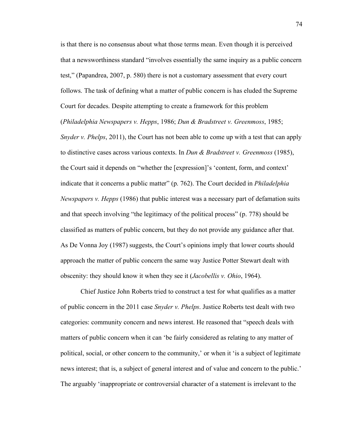is that there is no consensus about what those terms mean. Even though it is perceived that a newsworthiness standard "involves essentially the same inquiry as a public concern test," (Papandrea, 2007, p. 580) there is not a customary assessment that every court follows. The task of defining what a matter of public concern is has eluded the Supreme Court for decades. Despite attempting to create a framework for this problem (*Philadelphia Newspapers v. Hepps*, 1986; *Dun & Bradstreet v. Greenmoss*, 1985; *Snyder v. Phelps*, 2011), the Court has not been able to come up with a test that can apply to distinctive cases across various contexts. In *Dun & Bradstreet v. Greenmoss* (1985), the Court said it depends on "whether the [expression]'s 'content, form, and context' indicate that it concerns a public matter" (p. 762). The Court decided in *Philadelphia Newspapers v. Hepps* (1986) that public interest was a necessary part of defamation suits and that speech involving "the legitimacy of the political process" (p. 778) should be classified as matters of public concern, but they do not provide any guidance after that. As De Vonna Joy (1987) suggests, the Court's opinions imply that lower courts should approach the matter of public concern the same way Justice Potter Stewart dealt with obscenity: they should know it when they see it (*Jacobellis v. Ohio*, 1964).

Chief Justice John Roberts tried to construct a test for what qualifies as a matter of public concern in the 2011 case *Snyder v. Phelps*. Justice Roberts test dealt with two categories: community concern and news interest. He reasoned that "speech deals with matters of public concern when it can 'be fairly considered as relating to any matter of political, social, or other concern to the community,' or when it 'is a subject of legitimate news interest; that is, a subject of general interest and of value and concern to the public.' The arguably 'inappropriate or controversial character of a statement is irrelevant to the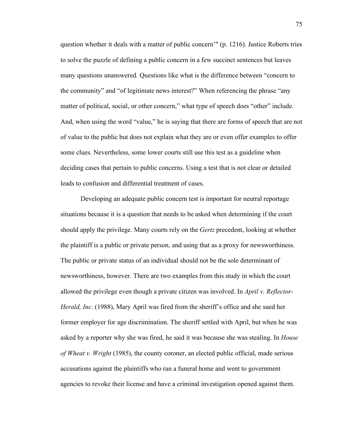question whether it deals with a matter of public concern'" (p. 1216). Justice Roberts tries to solve the puzzle of defining a public concern in a few succinct sentences but leaves many questions unanswered. Questions like what is the difference between "concern to the community" and "of legitimate news interest?" When referencing the phrase "any matter of political, social, or other concern," what type of speech does "other" include. And, when using the word "value," he is saying that there are forms of speech that are not of value to the public but does not explain what they are or even offer examples to offer some clues. Nevertheless, some lower courts still use this test as a guideline when deciding cases that pertain to public concerns. Using a test that is not clear or detailed leads to confusion and differential treatment of cases.

Developing an adequate public concern test is important for neutral reportage situations because it is a question that needs to be asked when determining if the court should apply the privilege. Many courts rely on the *Gertz* precedent, looking at whether the plaintiff is a public or private person, and using that as a proxy for newsworthiness. The public or private status of an individual should not be the sole determinant of newsworthiness, however. There are two examples from this study in which the court allowed the privilege even though a private citizen was involved. In *April v. Reflector-Herald, Inc.* (1988), Mary April was fired from the sheriff's office and she sued her former employer for age discrimination. The sheriff settled with April, but when he was asked by a reporter why she was fired, he said it was because she was stealing. In *House of Wheat v. Wright* (1985), the county coroner, an elected public official, made serious accusations against the plaintiffs who ran a funeral home and went to government agencies to revoke their license and have a criminal investigation opened against them.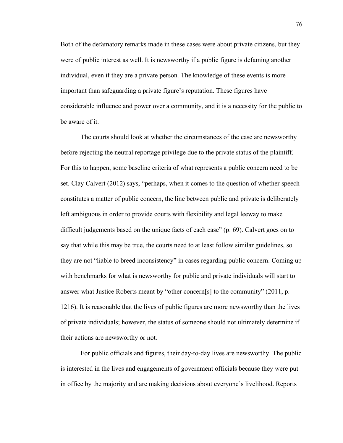Both of the defamatory remarks made in these cases were about private citizens, but they were of public interest as well. It is newsworthy if a public figure is defaming another individual, even if they are a private person. The knowledge of these events is more important than safeguarding a private figure's reputation. These figures have considerable influence and power over a community, and it is a necessity for the public to be aware of it.

The courts should look at whether the circumstances of the case are newsworthy before rejecting the neutral reportage privilege due to the private status of the plaintiff. For this to happen, some baseline criteria of what represents a public concern need to be set. Clay Calvert (2012) says, "perhaps, when it comes to the question of whether speech constitutes a matter of public concern, the line between public and private is deliberately left ambiguous in order to provide courts with flexibility and legal leeway to make difficult judgements based on the unique facts of each case" (p. 69). Calvert goes on to say that while this may be true, the courts need to at least follow similar guidelines, so they are not "liable to breed inconsistency" in cases regarding public concern. Coming up with benchmarks for what is newsworthy for public and private individuals will start to answer what Justice Roberts meant by "other concern[s] to the community" (2011, p. 1216). It is reasonable that the lives of public figures are more newsworthy than the lives of private individuals; however, the status of someone should not ultimately determine if their actions are newsworthy or not.

For public officials and figures, their day-to-day lives are newsworthy. The public is interested in the lives and engagements of government officials because they were put in office by the majority and are making decisions about everyone's livelihood. Reports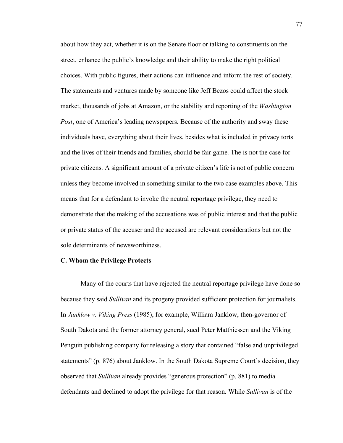about how they act, whether it is on the Senate floor or talking to constituents on the street, enhance the public's knowledge and their ability to make the right political choices. With public figures, their actions can influence and inform the rest of society. The statements and ventures made by someone like Jeff Bezos could affect the stock market, thousands of jobs at Amazon, or the stability and reporting of the *Washington Post*, one of America's leading newspapers. Because of the authority and sway these individuals have, everything about their lives, besides what is included in privacy torts and the lives of their friends and families, should be fair game. The is not the case for private citizens. A significant amount of a private citizen's life is not of public concern unless they become involved in something similar to the two case examples above. This means that for a defendant to invoke the neutral reportage privilege, they need to demonstrate that the making of the accusations was of public interest and that the public or private status of the accuser and the accused are relevant considerations but not the sole determinants of newsworthiness.

# **C. Whom the Privilege Protects**

Many of the courts that have rejected the neutral reportage privilege have done so because they said *Sullivan* and its progeny provided sufficient protection for journalists. In *Janklow v. Viking Press* (1985), for example, William Janklow, then-governor of South Dakota and the former attorney general, sued Peter Matthiessen and the Viking Penguin publishing company for releasing a story that contained "false and unprivileged statements" (p. 876) about Janklow. In the South Dakota Supreme Court's decision, they observed that *Sullivan* already provides "generous protection" (p. 881) to media defendants and declined to adopt the privilege for that reason. While *Sullivan* is of the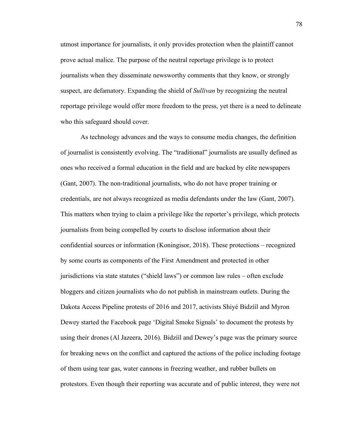utmost importance for journalists, it only provides protection when the plaintiff cannot prove actual malice. The purpose of the neutral reportage privilege is to protect journalists when they disseminate newsworthy comments that they know, or strongly suspect, are defamatory. Expanding the shield of *Sullivan* by recognizing the neutral reportage privilege would offer more freedom to the press, yet there is a need to delineate who this safeguard should cover.

As technology advances and the ways to consume media changes, the definition of journalist is consistently evolving. The "traditional" journalists are usually defined as ones who received a formal education in the field and are backed by elite newspapers (Gant, 2007). The non-traditional journalists, who do not have proper training or credentials, are not always recognized as media defendants under the law (Gant, 2007). This matters when trying to claim a privilege like the reporter's privilege, which protects journalists from being compelled by courts to disclose information about their confidential sources or information (Koningisor, 2018). These protections – recognized by some courts as components of the First Amendment and protected in other jurisdictions via state statutes ("shield laws") or common law rules – often exclude bloggers and citizen journalists who do not publish in mainstream outlets. During the Dakota Access Pipeline protests of 2016 and 2017, activists Shiyé Bidzííl and Myron Dewey started the Facebook page 'Digital Smoke Signals' to document the protests by using their drones (Al Jazeera, 2016). Bidzííl and Dewey's page was the primary source for breaking news on the conflict and captured the actions of the police including footage of them using tear gas, water cannons in freezing weather, and rubber bullets on protestors. Even though their reporting was accurate and of public interest, they were not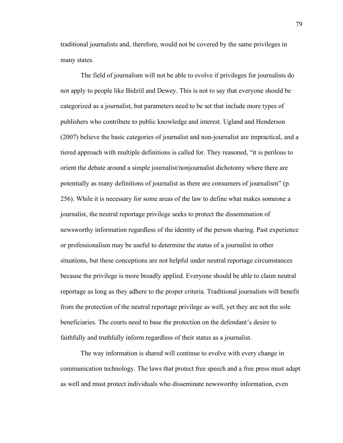traditional journalists and, therefore, would not be covered by the same privileges in many states.

The field of journalism will not be able to evolve if privileges for journalists do not apply to people like Bidzííl and Dewey. This is not to say that everyone should be categorized as a journalist, but parameters need to be set that include more types of publishers who contribute to public knowledge and interest. Ugland and Henderson (2007) believe the basic categories of journalist and non-journalist are impractical, and a tiered approach with multiple definitions is called for. They reasoned, "it is perilous to orient the debate around a simple journalist/nonjournalist dichotomy where there are potentially as many definitions of journalist as there are consumers of journalism" (p. 256). While it is necessary for some areas of the law to define what makes someone a journalist, the neutral reportage privilege seeks to protect the dissemination of newsworthy information regardless of the identity of the person sharing. Past experience or professionalism may be useful to determine the status of a journalist in other situations, but these conceptions are not helpful under neutral reportage circumstances because the privilege is more broadly applied. Everyone should be able to claim neutral reportage as long as they adhere to the proper criteria. Traditional journalists will benefit from the protection of the neutral reportage privilege as well, yet they are not the sole beneficiaries. The courts need to base the protection on the defendant's desire to faithfully and truthfully inform regardless of their status as a journalist.

The way information is shared will continue to evolve with every change in communication technology. The laws that protect free speech and a free press must adapt as well and must protect individuals who disseminate newsworthy information, even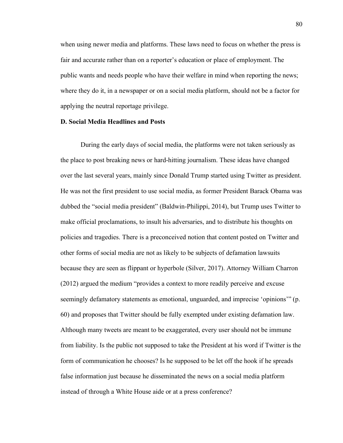when using newer media and platforms. These laws need to focus on whether the press is fair and accurate rather than on a reporter's education or place of employment. The public wants and needs people who have their welfare in mind when reporting the news; where they do it, in a newspaper or on a social media platform, should not be a factor for applying the neutral reportage privilege.

# **D. Social Media Headlines and Posts**

During the early days of social media, the platforms were not taken seriously as the place to post breaking news or hard-hitting journalism. These ideas have changed over the last several years, mainly since Donald Trump started using Twitter as president. He was not the first president to use social media, as former President Barack Obama was dubbed the "social media president" (Baldwin-Philippi, 2014), but Trump uses Twitter to make official proclamations, to insult his adversaries, and to distribute his thoughts on policies and tragedies. There is a preconceived notion that content posted on Twitter and other forms of social media are not as likely to be subjects of defamation lawsuits because they are seen as flippant or hyperbole (Silver, 2017). Attorney William Charron (2012) argued the medium "provides a context to more readily perceive and excuse seemingly defamatory statements as emotional, unguarded, and imprecise 'opinions'" (p. 60) and proposes that Twitter should be fully exempted under existing defamation law. Although many tweets are meant to be exaggerated, every user should not be immune from liability. Is the public not supposed to take the President at his word if Twitter is the form of communication he chooses? Is he supposed to be let off the hook if he spreads false information just because he disseminated the news on a social media platform instead of through a White House aide or at a press conference?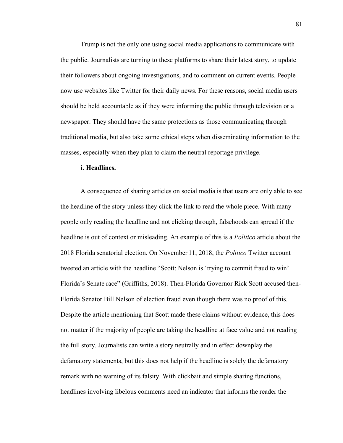Trump is not the only one using social media applications to communicate with the public. Journalists are turning to these platforms to share their latest story, to update their followers about ongoing investigations, and to comment on current events. People now use websites like Twitter for their daily news. For these reasons, social media users should be held accountable as if they were informing the public through television or a newspaper. They should have the same protections as those communicating through traditional media, but also take some ethical steps when disseminating information to the masses, especially when they plan to claim the neutral reportage privilege.

# **i. Headlines.**

A consequence of sharing articles on social media is that users are only able to see the headline of the story unless they click the link to read the whole piece. With many people only reading the headline and not clicking through, falsehoods can spread if the headline is out of context or misleading. An example of this is a *Politico* article about the 2018 Florida senatorial election. On November 11, 2018, the *Politico* Twitter account tweeted an article with the headline "Scott: Nelson is 'trying to commit fraud to win' Florida's Senate race" (Griffiths, 2018). Then-Florida Governor Rick Scott accused then-Florida Senator Bill Nelson of election fraud even though there was no proof of this. Despite the article mentioning that Scott made these claims without evidence, this does not matter if the majority of people are taking the headline at face value and not reading the full story. Journalists can write a story neutrally and in effect downplay the defamatory statements, but this does not help if the headline is solely the defamatory remark with no warning of its falsity. With clickbait and simple sharing functions, headlines involving libelous comments need an indicator that informs the reader the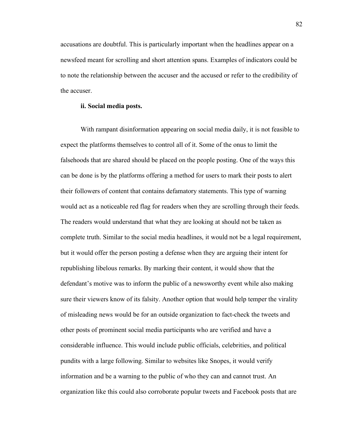accusations are doubtful. This is particularly important when the headlines appear on a newsfeed meant for scrolling and short attention spans. Examples of indicators could be to note the relationship between the accuser and the accused or refer to the credibility of the accuser.

# **ii. Social media posts.**

With rampant disinformation appearing on social media daily, it is not feasible to expect the platforms themselves to control all of it. Some of the onus to limit the falsehoods that are shared should be placed on the people posting. One of the ways this can be done is by the platforms offering a method for users to mark their posts to alert their followers of content that contains defamatory statements. This type of warning would act as a noticeable red flag for readers when they are scrolling through their feeds. The readers would understand that what they are looking at should not be taken as complete truth. Similar to the social media headlines, it would not be a legal requirement, but it would offer the person posting a defense when they are arguing their intent for republishing libelous remarks. By marking their content, it would show that the defendant's motive was to inform the public of a newsworthy event while also making sure their viewers know of its falsity. Another option that would help temper the virality of misleading news would be for an outside organization to fact-check the tweets and other posts of prominent social media participants who are verified and have a considerable influence. This would include public officials, celebrities, and political pundits with a large following. Similar to websites like Snopes, it would verify information and be a warning to the public of who they can and cannot trust. An organization like this could also corroborate popular tweets and Facebook posts that are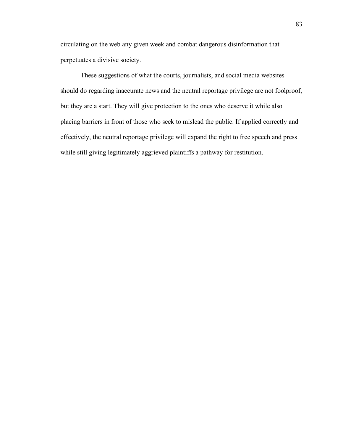circulating on the web any given week and combat dangerous disinformation that perpetuates a divisive society.

These suggestions of what the courts, journalists, and social media websites should do regarding inaccurate news and the neutral reportage privilege are not foolproof, but they are a start. They will give protection to the ones who deserve it while also placing barriers in front of those who seek to mislead the public. If applied correctly and effectively, the neutral reportage privilege will expand the right to free speech and press while still giving legitimately aggrieved plaintiffs a pathway for restitution.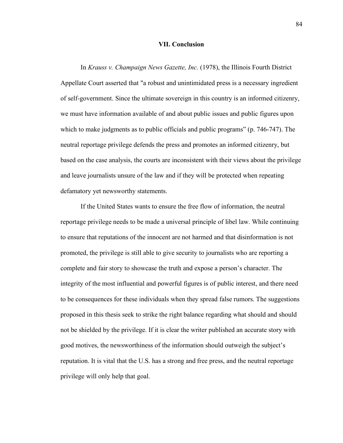# **VII. Conclusion**

In *Krauss v. Champaign News Gazette, Inc.* (1978), the Illinois Fourth District Appellate Court asserted that "a robust and unintimidated press is a necessary ingredient of self-government. Since the ultimate sovereign in this country is an informed citizenry, we must have information available of and about public issues and public figures upon which to make judgments as to public officials and public programs" (p. 746-747). The neutral reportage privilege defends the press and promotes an informed citizenry, but based on the case analysis, the courts are inconsistent with their views about the privilege and leave journalists unsure of the law and if they will be protected when repeating defamatory yet newsworthy statements.

If the United States wants to ensure the free flow of information, the neutral reportage privilege needs to be made a universal principle of libel law. While continuing to ensure that reputations of the innocent are not harmed and that disinformation is not promoted, the privilege is still able to give security to journalists who are reporting a complete and fair story to showcase the truth and expose a person's character. The integrity of the most influential and powerful figures is of public interest, and there need to be consequences for these individuals when they spread false rumors. The suggestions proposed in this thesis seek to strike the right balance regarding what should and should not be shielded by the privilege. If it is clear the writer published an accurate story with good motives, the newsworthiness of the information should outweigh the subject's reputation. It is vital that the U.S. has a strong and free press, and the neutral reportage privilege will only help that goal.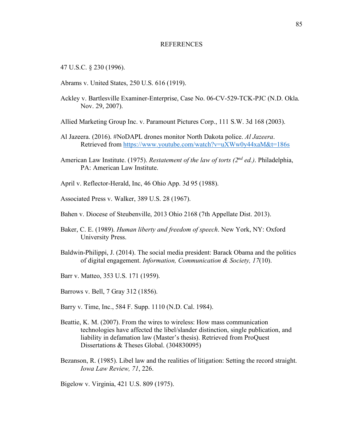### **REFERENCES**

47 U.S.C. § 230 (1996).

- Abrams v. United States, 250 U.S. 616 (1919).
- Ackley v. Bartlesville Examiner-Enterprise, Case No. 06-CV-529-TCK-PJC (N.D. Okla. Nov. 29, 2007).
- Allied Marketing Group Inc. v. Paramount Pictures Corp., 111 S.W. 3d 168 (2003).
- Al Jazeera. (2016). #NoDAPL drones monitor North Dakota police. *Al Jazeera*. Retrieved from https://www.youtube.com/watch?v=uXWw0y44xaM&t=186s
- American Law Institute. (1975). *Restatement of the law of torts (2nd ed.)*. Philadelphia, PA: American Law Institute.
- April v. Reflector-Herald, Inc, 46 Ohio App. 3d 95 (1988).
- Associated Press v. Walker, 389 U.S. 28 (1967).
- Bahen v. Diocese of Steubenville, 2013 Ohio 2168 (7th Appellate Dist. 2013).
- Baker, C. E. (1989). *Human liberty and freedom of speech*. New York, NY: Oxford University Press.
- Baldwin-Philippi, J. (2014). The social media president: Barack Obama and the politics of digital engagement. *Information, Communication & Society, 17*(10).
- Barr v. Matteo, 353 U.S. 171 (1959).
- Barrows v. Bell, 7 Gray 312 (1856).
- Barry v. Time, Inc., 584 F. Supp. 1110 (N.D. Cal. 1984).
- Beattie, K. M. (2007). From the wires to wireless: How mass communication technologies have affected the libel/slander distinction, single publication, and liability in defamation law (Master's thesis). Retrieved from ProQuest Dissertations & Theses Global. (304830095)
- Bezanson, R. (1985). Libel law and the realities of litigation: Setting the record straight. *Iowa Law Review, 71*, 226.

Bigelow v. Virginia, 421 U.S. 809 (1975).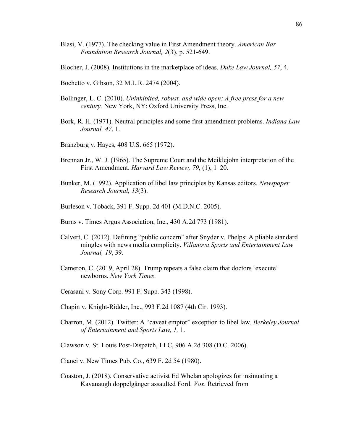- Blasi, V. (1977). The checking value in First Amendment theory. *American Bar Foundation Research Journal, 2*(3), p. 521-649.
- Blocher, J. (2008). Institutions in the marketplace of ideas. *Duke Law Journal, 57*, 4.
- Bochetto v. Gibson, 32 M.L.R. 2474 (2004).
- Bollinger, L. C. (2010). *Uninhibited, robust, and wide open: A free press for a new century.* New York, NY: Oxford University Press, Inc.
- Bork, R. H. (1971). Neutral principles and some first amendment problems. *Indiana Law Journal, 47*, 1.
- Branzburg v. Hayes, 408 U.S. 665 (1972).
- Brennan Jr., W. J. (1965). The Supreme Court and the Meiklejohn interpretation of the First Amendment. *Harvard Law Review, 79*, (1), 1–20.
- Bunker, M. (1992). Application of libel law principles by Kansas editors. *Newspaper Research Journal, 13*(3).
- Burleson v. Toback, 391 F. Supp. 2d 401 (M.D.N.C. 2005).
- Burns v. Times Argus Association, Inc., 430 A.2d 773 (1981).
- Calvert, C. (2012). Defining "public concern" after Snyder v. Phelps: A pliable standard mingles with news media complicity. *Villanova Sports and Entertainment Law Journal, 19*, 39.
- Cameron, C. (2019, April 28). Trump repeats a false claim that doctors 'execute' newborns. *New York Times*.
- Cerasani v. Sony Corp. 991 F. Supp. 343 (1998).
- Chapin v. Knight-Ridder, Inc., 993 F.2d 1087 (4th Cir. 1993).
- Charron, M. (2012). Twitter: A "caveat emptor" exception to libel law. *Berkeley Journal of Entertainment and Sports Law, 1,* 1.
- Clawson v. St. Louis Post-Dispatch, LLC, 906 A.2d 308 (D.C. 2006).
- Cianci v. New Times Pub. Co., 639 F. 2d 54 (1980).
- Coaston, J. (2018). Conservative activist Ed Whelan apologizes for insinuating a Kavanaugh doppelgänger assaulted Ford. *Vox*. Retrieved from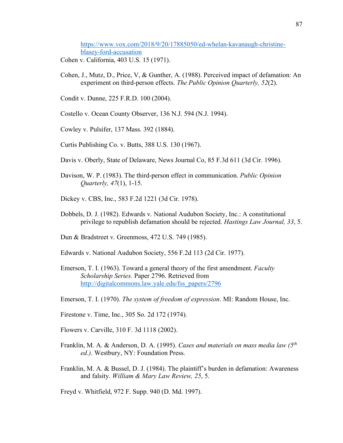https://www.vox.com/2018/9/20/17885050/ed-whelan-kavanaugh-christineblasey-ford-accusation

- Cohen v. California, 403 U.S. 15 (1971).
- Cohen, J., Mutz, D., Price, V, & Gunther, A. (1988). Perceived impact of defamation: An experiment on third-person effects. *The Public Opinion Quarterly, 52*(2).
- Condit v. Dunne, 225 F.R.D. 100 (2004).
- Costello v. Ocean County Observer, 136 N.J. 594 (N.J. 1994).
- Cowley v. Pulsifer, 137 Mass. 392 (1884).
- Curtis Publishing Co. v. Butts, 388 U.S. 130 (1967).
- Davis v. Oberly, State of Delaware, News Journal Co, 85 F.3d 611 (3d Cir. 1996).
- Davison, W. P. (1983). The third-person effect in communication. *Public Opinion Quarterly, 47*(1), 1-15.
- Dickey v. CBS, Inc., 583 F.2d 1221 (3d Cir. 1978).
- Dobbels, D. J. (1982). Edwards v. National Audubon Society, Inc.: A constitutional privilege to republish defamation should be rejected. *Hastings Law Journal, 33*, 5.
- Dun & Bradstreet v. Greenmoss, 472 U.S. 749 (1985).
- Edwards v. National Audubon Society, 556 F.2d 113 (2d Cir. 1977).
- Emerson, T. I. (1963). Toward a general theory of the first amendment. *Faculty Scholarship Series.* Paper 2796. Retrieved from http://digitalcommons.law.yale.edu/fss\_papers/2796
- Emerson, T. I. (1970). *The system of freedom of expression*. MI: Random House, Inc.
- Firestone v. Time, Inc., 305 So. 2d 172 (1974).
- Flowers v. Carville, 310 F. 3d 1118 (2002).
- Franklin, M. A. & Anderson, D. A. (1995). *Cases and materials on mass media law (5th ed.)*. Westbury, NY: Foundation Press.
- Franklin, M. A. & Bussel, D. J. (1984). The plaintiff's burden in defamation: Awareness and falsity. *William & Mary Law Review, 25*, 5.

Freyd v. Whitfield, 972 F. Supp. 940 (D. Md. 1997).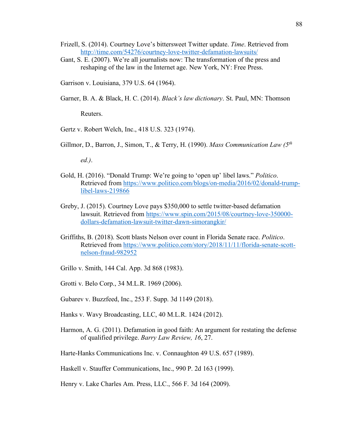- Frizell, S. (2014). Courtney Love's bittersweet Twitter update. *Time*. Retrieved from http://time.com/54276/courtney-love-twitter-defamation-lawsuits/
- Gant, S. E. (2007). We're all journalists now: The transformation of the press and reshaping of the law in the Internet age. New York, NY: Free Press.
- Garrison v. Louisiana, 379 U.S. 64 (1964).
- Garner, B. A. & Black, H. C. (2014). *Black's law dictionary*. St. Paul, MN: Thomson

Reuters.

- Gertz v. Robert Welch, Inc., 418 U.S. 323 (1974).
- Gillmor, D., Barron, J., Simon, T., & Terry, H. (1990). *Mass Communication Law (5th*

*ed.)*.

- Gold, H. (2016). "Donald Trump: We're going to 'open up' libel laws." *Politico*. Retrieved from https://www.politico.com/blogs/on-media/2016/02/donald-trumplibel-laws-219866
- Greby, J. (2015). Courtney Love pays \$350,000 to settle twitter-based defamation lawsuit. Retrieved from https://www.spin.com/2015/08/courtney-love-350000 dollars-defamation-lawsuit-twitter-dawn-simorangkir/
- Griffiths, B. (2018). Scott blasts Nelson over count in Florida Senate race. *Politico*. Retrieved from https://www.politico.com/story/2018/11/11/florida-senate-scottnelson-fraud-982952
- Grillo v. Smith, 144 Cal. App. 3d 868 (1983).
- Grotti v. Belo Corp., 34 M.L.R. 1969 (2006).
- Gubarev v. Buzzfeed, Inc., 253 F. Supp. 3d 1149 (2018).
- Hanks v. Wavy Broadcasting, LLC, 40 M.L.R. 1424 (2012).
- Harmon, A. G. (2011). Defamation in good faith: An argument for restating the defense of qualified privilege. *Barry Law Review, 16*, 27.
- Harte-Hanks Communications Inc. v. Connaughton 49 U.S. 657 (1989).

Haskell v. Stauffer Communications, Inc., 990 P. 2d 163 (1999).

Henry v. Lake Charles Am. Press, LLC., 566 F. 3d 164 (2009).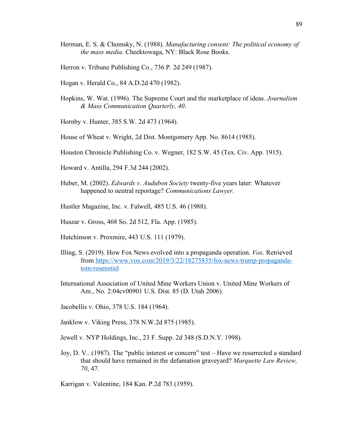- Herman, E. S. & Chomsky, N. (1988). *Manufacturing consent: The political economy of the mass media*. Cheektowaga, NY: Black Rose Books.
- Herron v. Tribune Publishing Co., 736 P. 2d 249 (1987).
- Hogan v. Herald Co., 84 A.D.2d 470 (1982).
- Hopkins, W. Wat. (1996). The Supreme Court and the marketplace of ideas. *Journalism & Mass Communication Quarterly, 40*.
- Hornby v. Hunter, 385 S.W. 2d 473 (1964).
- House of Wheat v. Wright, 2d Dist. Montgomery App. No. 8614 (1985).
- Houston Chronicle Publishing Co. v. Wegner, 182 S.W. 45 (Tex. Civ. App. 1915).
- Howard v. Antilla, 294 F.3d 244 (2002).
- Huber, M. (2002). *Edwards v. Audubon Society* twenty-five years later: Whatever happened to neutral reportage? *Communications Lawyer*.
- Hustler Magazine, Inc. v. Falwell, 485 U.S. 46 (1988).
- Huszar v. Gross, 468 So. 2d 512, Fla. App. (1985).
- Hutchinson v. Proxmire, 443 U.S. 111 (1979).
- Illing, S. (2019). How Fox News evolved into a propaganda operation. *Vox*. Retrieved from https://www.vox.com/2019/3/22/18275835/fox-news-trump-propagandatom-rosenstiel
- International Association of United Mine Workers Union v. United Mine Workers of Am., No. 2:04cv00901 U.S. Dist. 85 (D. Utah 2006).
- Jacobellis v. Ohio, 378 U.S. 184 (1964).
- Janklow v. Viking Press, 378 N.W.2d 875 (1985).
- Jewell v. NYP Holdings, Inc., 23 F. Supp. 2d 348 (S.D.N.Y. 1998).
- Joy, D. V.. (1987). The "public interest or concern" test Have we resurrected a standard that should have remained in the defamation graveyard? *Marquette Law Review, 70*, 47.

Karrigan v. Valentine, 184 Kan. P.2d 783 (1959).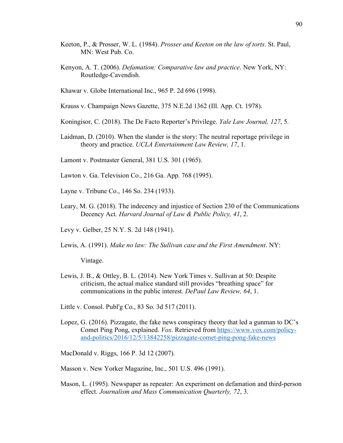- Keeton, P., & Prosser, W. L. (1984). *Prosser and Keeton on the law of torts*. St. Paul, MN: West Pub. Co.
- Kenyon, A. T. (2006). *Defamation: Comparative law and practice*. New York, NY: Routledge-Cavendish.
- Khawar v. Globe International Inc., 965 P. 2d 696 (1998).
- Krauss v. Champaign News Gazette, 375 N.E.2d 1362 (Ill. App. Ct. 1978).
- Koningisor, C. (2018). The De Facto Reporter's Privilege. *Yale Law Journal, 127*, 5.
- Laidman, D. (2010). When the slander is the story: The neutral reportage privilege in theory and practice. *UCLA Entertainment Law Review, 17*, 1.
- Lamont v. Postmaster General, 381 U.S. 301 (1965).
- Lawton v. Ga. Television Co., 216 Ga. App. 768 (1995).
- Layne v. Tribune Co., 146 So. 234 (1933).
- Leary, M. G. (2018). The indecency and injustice of Section 230 of the Communications Decency Act*. Harvard Journal of Law & Public Policy, 41*, 2.
- Levy v. Gelber, 25 N.Y. S. 2d 148 (1941).
- Lewis, A. (1991). *Make no law: The Sullivan case and the First Amendment*. NY:

Vintage.

- Lewis, J. B., & Ottley, B. L. (2014). New York Times v. Sullivan at 50: Despite criticism, the actual malice standard still provides "breathing space" for communications in the public interest. *DePaul Law Review, 64*, 1.
- Little v. Consol. Publ'g Co., 83 So. 3d 517 (2011).
- Lopez, G. (2016). Pizzagate, the fake news conspiracy theory that led a gunman to DC's Comet Ping Pong, explained. *Vox*. Retrieved from https://www.vox.com/policyand-politics/2016/12/5/13842258/pizzagate-comet-ping-pong-fake-news

MacDonald v. Riggs, 166 P. 3d 12 (2007).

- Masson v. New Yorker Magazine, Inc., 501 U.S. 496 (1991).
- Mason, L. (1995). Newspaper as repeater: An experiment on defamation and third-person effect. *Journalism and Mass Communication Quarterly, 72*, 3.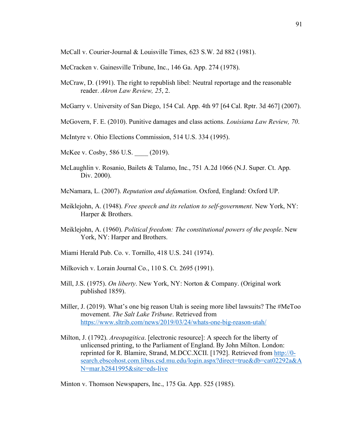McCall v. Courier-Journal & Louisville Times, 623 S.W. 2d 882 (1981).

McCracken v. Gainesville Tribune, Inc., 146 Ga. App. 274 (1978).

McCraw, D. (1991). The right to republish libel: Neutral reportage and the reasonable reader. *Akron Law Review, 25*, 2.

McGarry v. University of San Diego, 154 Cal. App. 4th 97 [64 Cal. Rptr. 3d 467] (2007).

McGovern, F. E. (2010). Punitive damages and class actions. *Louisiana Law Review, 70*.

McIntyre v. Ohio Elections Commission, 514 U.S. 334 (1995).

- McKee v. Cosby, 586 U.S. (2019).
- McLaughlin v. Rosanio, Bailets & Talamo, Inc., 751 A.2d 1066 (N.J. Super. Ct. App. Div. 2000).
- McNamara, L. (2007). *Reputation and defamation*. Oxford, England: Oxford UP.
- Meiklejohn, A. (1948). *Free speech and its relation to self-government*. New York, NY: Harper & Brothers.
- Meiklejohn, A. (1960). *Political freedom: The constitutional powers of the people*. New York, NY: Harper and Brothers.
- Miami Herald Pub. Co. v. Tornillo, 418 U.S. 241 (1974).
- Milkovich v. Lorain Journal Co., 110 S. Ct. 2695 (1991).
- Mill, J.S. (1975). *On liberty*. New York, NY: Norton & Company. (Original work published 1859).
- Miller, J. (2019). What's one big reason Utah is seeing more libel lawsuits? The #MeToo movement. *The Salt Lake Tribune*. Retrieved from https://www.sltrib.com/news/2019/03/24/whats-one-big-reason-utah/
- Milton, J. (1792). *Areopagitica*. [electronic resource]: A speech for the liberty of unlicensed printing, to the Parliament of England. By John Milton. London: reprinted for R. Blamire, Strand, M.DCC.XCII. [1792]. Retrieved from http://0 search.ebscohost.com.libus.csd.mu.edu/login.aspx?direct=true&db=cat02292a&A N=mar.b2841995&site=eds-live

Minton v. Thomson Newspapers, Inc., 175 Ga. App. 525 (1985).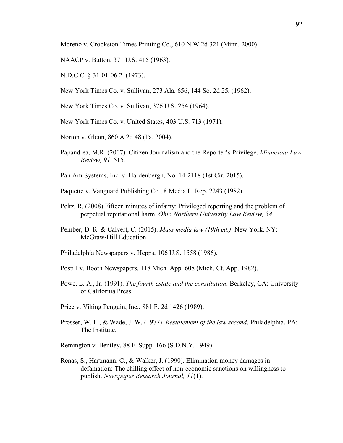Moreno v. Crookston Times Printing Co., 610 N.W.2d 321 (Minn. 2000).

- NAACP v. Button, 371 U.S. 415 (1963).
- N.D.C.C. § 31-01-06.2. (1973).
- New York Times Co. v. Sullivan, 273 Ala. 656, 144 So. 2d 25, (1962).
- New York Times Co. v. Sullivan, 376 U.S. 254 (1964).
- New York Times Co. v. United States, 403 U.S. 713 (1971).
- Norton v. Glenn, 860 A.2d 48 (Pa. 2004).
- Papandrea, M.R. (2007). Citizen Journalism and the Reporter's Privilege. *Minnesota Law Review, 91*, 515.
- Pan Am Systems, Inc. v. Hardenbergh, No. 14-2118 (1st Cir. 2015).
- Paquette v. Vanguard Publishing Co., 8 Media L. Rep. 2243 (1982).
- Peltz, R. (2008) Fifteen minutes of infamy: Privileged reporting and the problem of perpetual reputational harm. *Ohio Northern University Law Review, 34*.
- Pember, D. R. & Calvert, C. (2015). *Mass media law (19th ed.)*. New York, NY: McGraw-Hill Education.
- Philadelphia Newspapers v. Hepps, 106 U.S. 1558 (1986).
- Postill v. Booth Newspapers, 118 Mich. App. 608 (Mich. Ct. App. 1982).
- Powe, L. A., Jr. (1991). *The fourth estate and the constitution*. Berkeley, CA: University of California Press.
- Price v. Viking Penguin, Inc., 881 F. 2d 1426 (1989).
- Prosser, W. L., & Wade, J. W. (1977). *Restatement of the law second*. Philadelphia, PA: The Institute.
- Remington v. Bentley, 88 F. Supp. 166 (S.D.N.Y. 1949).
- Renas, S., Hartmann, C., & Walker, J. (1990). Elimination money damages in defamation: The chilling effect of non-economic sanctions on willingness to publish. *Newspaper Research Journal, 11*(1).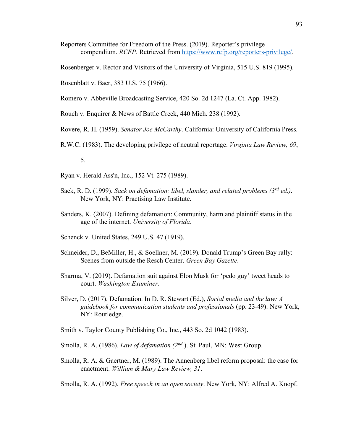- Reporters Committee for Freedom of the Press. (2019). Reporter's privilege compendium. *RCFP*. Retrieved from https://www.rcfp.org/reporters-privilege/.
- Rosenberger v. Rector and Visitors of the University of Virginia, 515 U.S. 819 (1995).
- Rosenblatt v. Baer, 383 U.S. 75 (1966).
- Romero v. Abbeville Broadcasting Service, 420 So. 2d 1247 (La. Ct. App. 1982).
- Rouch v. Enquirer & News of Battle Creek, 440 Mich. 238 (1992).
- Rovere, R. H. (1959). *Senator Joe McCarthy*. California: University of California Press.
- R.W.C. (1983). The developing privilege of neutral reportage. *Virginia Law Review, 69*,
	- 5.
- Ryan v. Herald Ass'n, Inc., 152 Vt. 275 (1989).
- Sack, R. D. (1999). *Sack on defamation: libel, slander, and related problems (3rd ed.)*. New York, NY: Practising Law Institute.
- Sanders, K. (2007). Defining defamation: Community, harm and plaintiff status in the age of the internet. *University of Florida*.
- Schenck v. United States, 249 U.S. 47 (1919).
- Schneider, D., BeMiller, H., & Soellner, M. (2019). Donald Trump's Green Bay rally: Scenes from outside the Resch Center. *Green Bay Gazette*.
- Sharma, V. (2019). Defamation suit against Elon Musk for 'pedo guy' tweet heads to court. *Washington Examiner.*
- Silver, D. (2017). Defamation. In D. R. Stewart (Ed.), *Social media and the law: A guidebook for communication students and professionals* (pp. 23-49). New York, NY: Routledge.
- Smith v. Taylor County Publishing Co., Inc., 443 So. 2d 1042 (1983).
- Smolla, R. A. (1986). *Law of defamation (2nd.*). St. Paul, MN: West Group.
- Smolla, R. A. & Gaertner, M. (1989). The Annenberg libel reform proposal: the case for enactment. *William & Mary Law Review, 31*.
- Smolla, R. A. (1992). *Free speech in an open society*. New York, NY: Alfred A. Knopf.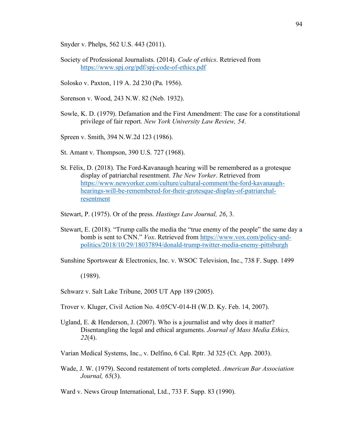Snyder v. Phelps, 562 U.S. 443 (2011).

- Society of Professional Journalists. (2014). *Code of ethics*. Retrieved from https://www.spj.org/pdf/spj-code-of-ethics.pdf
- Solosko v. Paxton, 119 A. 2d 230 (Pa. 1956).
- Sorenson v. Wood, 243 N.W. 82 (Neb. 1932).
- Sowle, K. D. (1979). Defamation and the First Amendment: The case for a constitutional privilege of fair report. *New York University Law Review, 54*.
- Spreen v. Smith, 394 N.W.2d 123 (1986).
- St. Amant v. Thompson, 390 U.S. 727 (1968).
- St. Félix, D. (2018). The Ford-Kavanaugh hearing will be remembered as a grotesque display of patriarchal resentment. *The New Yorker*. Retrieved from https://www.newyorker.com/culture/cultural-comment/the-ford-kavanaughhearings-will-be-remembered-for-their-grotesque-display-of-patriarchalresentment
- Stewart, P. (1975). Or of the press. *Hastings Law Journal, 26*, 3.
- Stewart, E. (2018). "Trump calls the media the "true enemy of the people" the same day a bomb is sent to CNN." *Vox*. Retrieved from https://www.vox.com/policy-andpolitics/2018/10/29/18037894/donald-trump-twitter-media-enemy-pittsburgh

Sunshine Sportswear & Electronics, Inc. v. WSOC Television, Inc., 738 F. Supp. 1499

(1989).

Schwarz v. Salt Lake Tribune, 2005 UT App 189 (2005).

- Trover v. Kluger, Civil Action No. 4:05CV-014-H (W.D. Ky. Feb. 14, 2007).
- Ugland, E. & Henderson, J. (2007). Who is a journalist and why does it matter? Disentangling the legal and ethical arguments. *Journal of Mass Media Ethics, 22*(4).

Varian Medical Systems, Inc., v. Delfino, 6 Cal. Rptr. 3d 325 (Ct. App. 2003).

Wade, J. W. (1979). Second restatement of torts completed. *American Bar Association Journal, 65*(3).

Ward v. News Group International, Ltd., 733 F. Supp. 83 (1990).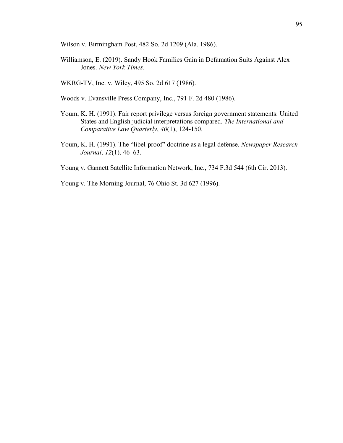Wilson v. Birmingham Post, 482 So. 2d 1209 (Ala. 1986).

Williamson, E. (2019). Sandy Hook Families Gain in Defamation Suits Against Alex Jones. *New York Times.*

WKRG-TV, Inc. v. Wiley, 495 So. 2d 617 (1986).

- Woods v. Evansville Press Company, Inc., 791 F. 2d 480 (1986).
- Youm, K. H. (1991). Fair report privilege versus foreign government statements: United States and English judicial interpretations compared. *The International and Comparative Law Quarterly*, *40*(1), 124-150.
- Youm, K. H. (1991). The "libel-proof" doctrine as a legal defense. *Newspaper Research Journal*, *12*(1), 46–63.
- Young v. Gannett Satellite Information Network, Inc., 734 F.3d 544 (6th Cir. 2013).
- Young v. The Morning Journal, 76 Ohio St. 3d 627 (1996).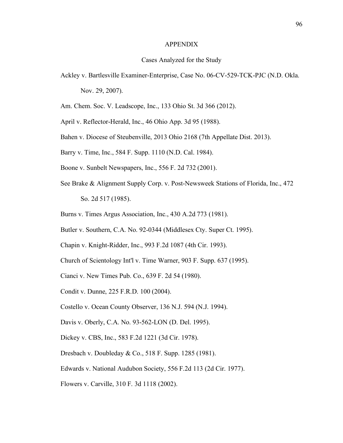### APPENDIX

# Cases Analyzed for the Study

- Ackley v. Bartlesville Examiner-Enterprise, Case No. 06-CV-529-TCK-PJC (N.D. Okla. Nov. 29, 2007).
- Am. Chem. Soc. V. Leadscope, Inc., 133 Ohio St. 3d 366 (2012).
- April v. Reflector-Herald, Inc., 46 Ohio App. 3d 95 (1988).
- Bahen v. Diocese of Steubenville, 2013 Ohio 2168 (7th Appellate Dist. 2013).
- Barry v. Time, Inc., 584 F. Supp. 1110 (N.D. Cal. 1984).
- Boone v. Sunbelt Newspapers, Inc., 556 F. 2d 732 (2001).
- See Brake & Alignment Supply Corp. v. Post-Newsweek Stations of Florida, Inc., 472 So. 2d 517 (1985).
- Burns v. Times Argus Association, Inc., 430 A.2d 773 (1981).
- Butler v. Southern, C.A. No. 92-0344 (Middlesex Cty. Super Ct. 1995).
- Chapin v. Knight-Ridder, Inc., 993 F.2d 1087 (4th Cir. 1993).
- Church of Scientology Int'l v. Time Warner, 903 F. Supp. 637 (1995).
- Cianci v. New Times Pub. Co., 639 F. 2d 54 (1980).
- Condit v. Dunne, 225 F.R.D. 100 (2004).
- Costello v. Ocean County Observer, 136 N.J. 594 (N.J. 1994).
- Davis v. Oberly, C.A. No. 93-562-LON (D. Del. 1995).
- Dickey v. CBS, Inc., 583 F.2d 1221 (3d Cir. 1978).
- Dresbach v. Doubleday & Co., 518 F. Supp. 1285 (1981).
- Edwards v. National Audubon Society, 556 F.2d 113 (2d Cir. 1977).
- Flowers v. Carville, 310 F. 3d 1118 (2002).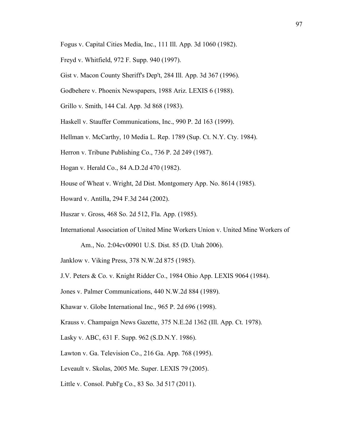- Fogus v. Capital Cities Media, Inc., 111 Ill. App. 3d 1060 (1982).
- Freyd v. Whitfield, 972 F. Supp. 940 (1997).
- Gist v. Macon County Sheriff's Dep't, 284 Ill. App. 3d 367 (1996).
- Godbehere v. Phoenix Newspapers, 1988 Ariz. LEXIS 6 (1988).
- Grillo v. Smith, 144 Cal. App. 3d 868 (1983).
- Haskell v. Stauffer Communications, Inc., 990 P. 2d 163 (1999).
- Hellman v. McCarthy, 10 Media L. Rep. 1789 (Sup. Ct. N.Y. Cty. 1984).
- Herron v. Tribune Publishing Co., 736 P. 2d 249 (1987).
- Hogan v. Herald Co., 84 A.D.2d 470 (1982).
- House of Wheat v. Wright, 2d Dist. Montgomery App. No. 8614 (1985).
- Howard v. Antilla, 294 F.3d 244 (2002).
- Huszar v. Gross, 468 So. 2d 512, Fla. App. (1985).
- International Association of United Mine Workers Union v. United Mine Workers of
	- Am., No. 2:04cv00901 U.S. Dist. 85 (D. Utah 2006).
- Janklow v. Viking Press, 378 N.W.2d 875 (1985).
- J.V. Peters & Co. v. Knight Ridder Co., 1984 Ohio App. LEXIS 9064 (1984).
- Jones v. Palmer Communications, 440 N.W.2d 884 (1989).
- Khawar v. Globe International Inc., 965 P. 2d 696 (1998).
- Krauss v. Champaign News Gazette, 375 N.E.2d 1362 (Ill. App. Ct. 1978).
- Lasky v. ABC, 631 F. Supp. 962 (S.D.N.Y. 1986).
- Lawton v. Ga. Television Co., 216 Ga. App. 768 (1995).
- Leveault v. Skolas, 2005 Me. Super. LEXIS 79 (2005).
- Little v. Consol. Publ'g Co., 83 So. 3d 517 (2011).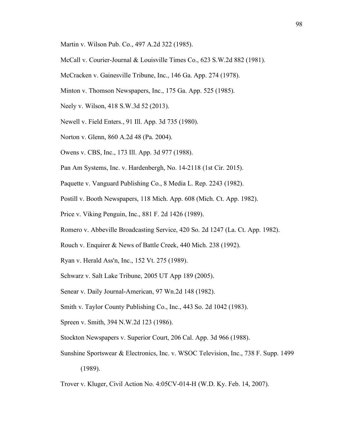- Martin v. Wilson Pub. Co., 497 A.2d 322 (1985).
- McCall v. Courier-Journal & Louisville Times Co., 623 S.W.2d 882 (1981).
- McCracken v. Gainesville Tribune, Inc., 146 Ga. App. 274 (1978).
- Minton v. Thomson Newspapers, Inc., 175 Ga. App. 525 (1985).
- Neely v. Wilson, 418 S.W.3d 52 (2013).
- Newell v. Field Enters., 91 Ill. App. 3d 735 (1980).
- Norton v. Glenn, 860 A.2d 48 (Pa. 2004).
- Owens v. CBS, Inc., 173 Ill. App. 3d 977 (1988).
- Pan Am Systems, Inc. v. Hardenbergh, No. 14-2118 (1st Cir. 2015).
- Paquette v. Vanguard Publishing Co., 8 Media L. Rep. 2243 (1982).
- Postill v. Booth Newspapers, 118 Mich. App. 608 (Mich. Ct. App. 1982).
- Price v. Viking Penguin, Inc., 881 F. 2d 1426 (1989).
- Romero v. Abbeville Broadcasting Service, 420 So. 2d 1247 (La. Ct. App. 1982).
- Rouch v. Enquirer & News of Battle Creek, 440 Mich. 238 (1992).
- Ryan v. Herald Ass'n, Inc., 152 Vt. 275 (1989).
- Schwarz v. Salt Lake Tribune, 2005 UT App 189 (2005).
- Senear v. Daily Journal-American, 97 Wn.2d 148 (1982).
- Smith v. Taylor County Publishing Co., Inc., 443 So. 2d 1042 (1983).
- Spreen v. Smith, 394 N.W.2d 123 (1986).
- Stockton Newspapers v. Superior Court, 206 Cal. App. 3d 966 (1988).
- Sunshine Sportswear & Electronics, Inc. v. WSOC Television, Inc., 738 F. Supp. 1499 (1989).
- Trover v. Kluger, Civil Action No. 4:05CV-014-H (W.D. Ky. Feb. 14, 2007).